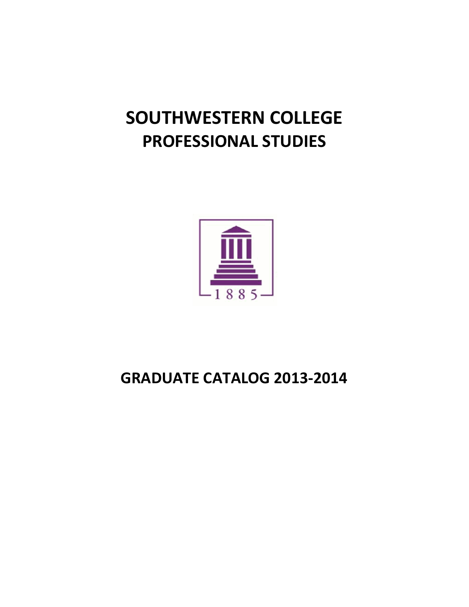# **SOUTHWESTERN COLLEGE PROFESSIONAL STUDIES**



# **GRADUATE CATALOG 2013-2014**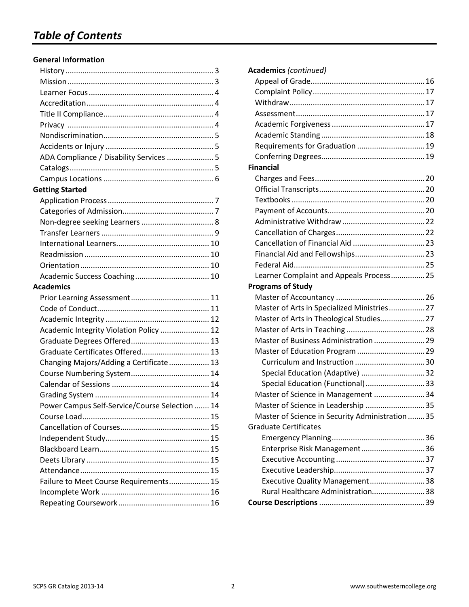#### **General Information**

| ADA Compliance / Disability Services  5        |  |
|------------------------------------------------|--|
|                                                |  |
|                                                |  |
| <b>Getting Started</b>                         |  |
|                                                |  |
|                                                |  |
|                                                |  |
|                                                |  |
|                                                |  |
|                                                |  |
|                                                |  |
|                                                |  |
| Academics                                      |  |
|                                                |  |
|                                                |  |
|                                                |  |
| Academic Integrity Violation Policy  12        |  |
|                                                |  |
| Graduate Certificates Offered 13               |  |
| Changing Majors/Adding a Certificate  13       |  |
|                                                |  |
|                                                |  |
|                                                |  |
| Power Campus Self-Service/Course Selection  14 |  |
|                                                |  |
|                                                |  |
|                                                |  |
|                                                |  |
|                                                |  |
|                                                |  |
| Failure to Meet Course Requirements 15         |  |
|                                                |  |
|                                                |  |
|                                                |  |

| <b>Academics (continued)</b>                     |  |
|--------------------------------------------------|--|
|                                                  |  |
|                                                  |  |
|                                                  |  |
|                                                  |  |
|                                                  |  |
|                                                  |  |
| Requirements for Graduation  19                  |  |
|                                                  |  |
| <b>Financial</b>                                 |  |
|                                                  |  |
|                                                  |  |
|                                                  |  |
|                                                  |  |
|                                                  |  |
|                                                  |  |
|                                                  |  |
|                                                  |  |
|                                                  |  |
| Learner Complaint and Appeals Process 25         |  |
| <b>Programs of Study</b>                         |  |
|                                                  |  |
| Master of Arts in Specialized Ministries 27      |  |
| Master of Arts in Theological Studies 27         |  |
|                                                  |  |
| Master of Business Administration  29            |  |
| Master of Education Program  29                  |  |
|                                                  |  |
| Special Education (Adaptive) 32                  |  |
| Special Education (Functional)33                 |  |
| Master of Science in Management  34              |  |
| Master of Science in Leadership  35              |  |
| Master of Science in Security Administration  35 |  |
| <b>Graduate Certificates</b>                     |  |
|                                                  |  |
| Enterprise Risk Management 36                    |  |
|                                                  |  |
|                                                  |  |
| Executive Quality Management 38                  |  |
| Rural Healthcare Administration38                |  |
|                                                  |  |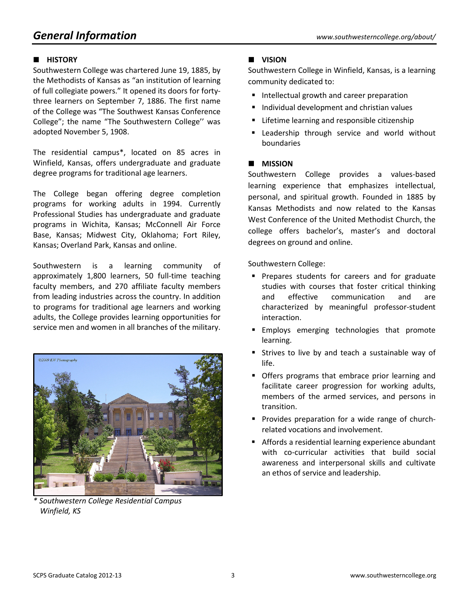# *General Information www.southwesterncollege.org/about/*

#### **HISTORY**

Southwestern College was chartered June 19, 1885, by the Methodists of Kansas as "an institution of learning of full collegiate powers." It opened its doors for fortythree learners on September 7, 1886. The first name of the College was "The Southwest Kansas Conference College"; the name "The Southwestern College'' was adopted November 5, 1908.

The residential campus\*, located on 85 acres in Winfield, Kansas, offers undergraduate and graduate degree programs for traditional age learners.

The College began offering degree completion programs for working adults in 1994. Currently Professional Studies has undergraduate and graduate programs in Wichita, Kansas; McConnell Air Force Base, Kansas; Midwest City, Oklahoma; Fort Riley, Kansas; Overland Park, Kansas and online.

Southwestern is a learning community of approximately 1,800 learners, 50 full-time teaching faculty members, and 270 affiliate faculty members from leading industries across the country. In addition to programs for traditional age learners and working adults, the College provides learning opportunities for service men and women in all branches of the military.



*\* Southwestern College Residential Campus Winfield, KS*

#### **VISION**

Southwestern College in Winfield, Kansas, is a learning community dedicated to:

- Intellectual growth and career preparation
- **Individual development and christian values**
- **EXTERGHERITH** Lifetime learning and responsible citizenship
- **E** Leadership through service and world without boundaries

#### **MISSION**

Southwestern College provides a values-based learning experience that emphasizes intellectual, personal, and spiritual growth. Founded in 1885 by Kansas Methodists and now related to the Kansas West Conference of the United Methodist Church, the college offers bachelor's, master's and doctoral degrees on ground and online.

Southwestern College:

- **Prepares students for careers and for graduate** studies with courses that foster critical thinking and effective communication and are characterized by meaningful professor-student interaction.
- **Employs emerging technologies that promote** learning.
- **Strives to live by and teach a sustainable way of** life.
- **Offers programs that embrace prior learning and** facilitate career progression for working adults, members of the armed services, and persons in transition.
- **Provides preparation for a wide range of church**related vocations and involvement.
- Affords a residential learning experience abundant with co-curricular activities that build social awareness and interpersonal skills and cultivate an ethos of service and leadership.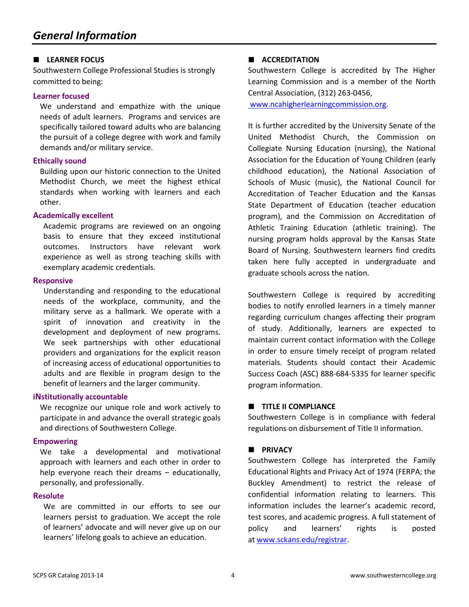#### **LEARNER FOCUS**

Southwestern College Professional Studies is strongly committed to being:

#### **Learner focused**

We understand and empathize with the unique needs of adult learners. Programs and services are specifically tailored toward adults who are balancing the pursuit of a college degree with work and family demands and/or military service.

#### **Ethically sound**

Building upon our historic connection to the United Methodist Church, we meet the highest ethical standards when working with learners and each other.

#### **Academically excellent**

Academic programs are reviewed on an ongoing basis to ensure that they exceed institutional outcomes. Instructors have relevant work experience as well as strong teaching skills with exemplary academic credentials.

#### **Responsive**

Understanding and responding to the educational needs of the workplace, community, and the military serve as a hallmark. We operate with a spirit of innovation and creativity in the development and deployment of new programs. We seek partnerships with other educational providers and organizations for the explicit reason of increasing access of educational opportunities to adults and are flexible in program design to the benefit of learners and the larger community.

#### **iNstitutionally accountable**

We recognize our unique role and work actively to participate in and advance the overall strategic goals and directions of Southwestern College.

#### **Empowering**

We take a developmental and motivational approach with learners and each other in order to help everyone reach their dreams – educationally, personally, and professionally.

#### **Resolute**

We are committed in our efforts to see our learners persist to graduation. We accept the role of learners' advocate and will never give up on our learners' lifelong goals to achieve an education.

#### **ACCREDITATION**

Southwestern College is accredited by The Higher Learning Commission and is a member of the North Central Association, (312) 263-0456,

[www.ncahigherlearningcommission.org.](http://www.ncahigherlearningcommission.org/)

It is further accredited by the University Senate of the United Methodist Church, the Commission on Collegiate Nursing Education (nursing), the National Association for the Education of Young Children (early childhood education), the National Association of Schools of Music (music), the National Council for Accreditation of Teacher Education and the Kansas State Department of Education (teacher education program), and the Commission on Accreditation of Athletic Training Education (athletic training). The nursing program holds approval by the Kansas State Board of Nursing. Southwestern learners find credits taken here fully accepted in undergraduate and graduate schools across the nation.

Southwestern College is required by accrediting bodies to notify enrolled learners in a timely manner regarding curriculum changes affecting their program of study. Additionally, learners are expected to maintain current contact information with the College in order to ensure timely receipt of program related materials. Students should contact their Academic Success Coach (ASC) 888-684-5335 for learner specific program information.

#### **TITLE II COMPLIANCE**

Southwestern College is in compliance with federal regulations on disbursement of Title II information.

#### **PRIVACY**

Southwestern College has interpreted the Family Educational Rights and Privacy Act of 1974 (FERPA; the Buckley Amendment) to restrict the release of confidential information relating to learners. This information includes the learner's academic record, test scores, and academic progress. A full statement of policy and learners' rights is posted at [www.sckans.edu/registrar.](http://www.sckans.edu/registrar)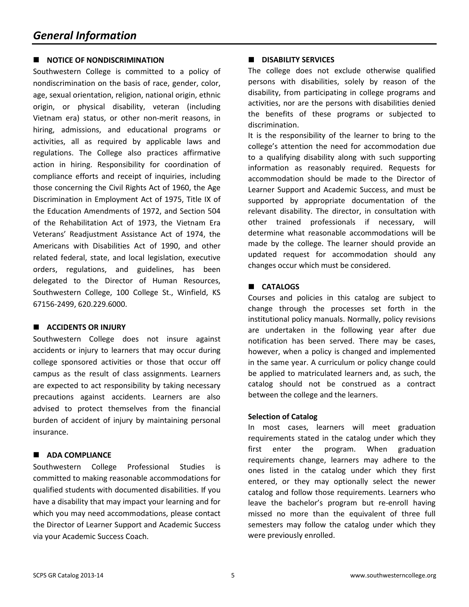#### **NOTICE OF NONDISCRIMINATION**

Southwestern College is committed to a policy of nondiscrimination on the basis of race, gender, color, age, sexual orientation, religion, national origin, ethnic origin, or physical disability, veteran (including Vietnam era) status, or other non-merit reasons, in hiring, admissions, and educational programs or activities, all as required by applicable laws and regulations. The College also practices affirmative action in hiring. Responsibility for coordination of compliance efforts and receipt of inquiries, including those concerning the Civil Rights Act of 1960, the Age Discrimination in Employment Act of 1975, Title IX of the Education Amendments of 1972, and Section 504 of the Rehabilitation Act of 1973, the Vietnam Era Veterans' Readjustment Assistance Act of 1974, the Americans with Disabilities Act of 1990, and other related federal, state, and local legislation, executive orders, regulations, and guidelines, has been delegated to the Director of Human Resources, Southwestern College, 100 College St., Winfield, KS 67156-2499, 620.229.6000.

#### **ACCIDENTS OR INJURY**

Southwestern College does not insure against accidents or injury to learners that may occur during college sponsored activities or those that occur off campus as the result of class assignments. Learners are expected to act responsibility by taking necessary precautions against accidents. Learners are also advised to protect themselves from the financial burden of accident of injury by maintaining personal insurance.

#### **ADA COMPLIANCE**

Southwestern College Professional Studies is committed to making reasonable accommodations for qualified students with documented disabilities. If you have a disability that may impact your learning and for which you may need accommodations, please contact the Director of Learner Support and Academic Success via your Academic Success Coach.

#### **DISABILITY SERVICES**

The college does not exclude otherwise qualified persons with disabilities, solely by reason of the disability, from participating in college programs and activities, nor are the persons with disabilities denied the benefits of these programs or subjected to discrimination.

It is the responsibility of the learner to bring to the college's attention the need for accommodation due to a qualifying disability along with such supporting information as reasonably required. Requests for accommodation should be made to the Director of Learner Support and Academic Success, and must be supported by appropriate documentation of the relevant disability. The director, in consultation with other trained professionals if necessary, will determine what reasonable accommodations will be made by the college. The learner should provide an updated request for accommodation should any changes occur which must be considered.

#### **CATALOGS**

Courses and policies in this catalog are subject to change through the processes set forth in the institutional policy manuals. Normally, policy revisions are undertaken in the following year after due notification has been served. There may be cases, however, when a policy is changed and implemented in the same year. A curriculum or policy change could be applied to matriculated learners and, as such, the catalog should not be construed as a contract between the college and the learners.

#### **Selection of Catalog**

In most cases, learners will meet graduation requirements stated in the catalog under which they first enter the program. When graduation requirements change, learners may adhere to the ones listed in the catalog under which they first entered, or they may optionally select the newer catalog and follow those requirements. Learners who leave the bachelor's program but re-enroll having missed no more than the equivalent of three full semesters may follow the catalog under which they were previously enrolled.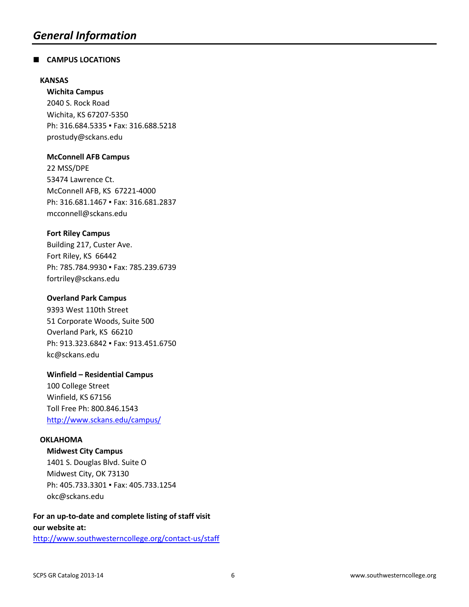#### **CAMPUS LOCATIONS**

#### **KANSAS**

**Wichita Campus** 2040 S. Rock Road Wichita, KS 67207-5350 Ph: 316.684.5335 · Fax: 316.688.5218 [prostudy@sckans.edu](mailto:prostudy@sckans.edu)

#### **McConnell AFB Campus**

22 MSS/DPE 53474 Lawrence Ct. McConnell AFB, KS 67221-4000 Ph: 316.681.1467 · Fax: 316.681.2837 [mcconnell@sckans.edu](mailto:mcconnell@sckans.edu)

#### **Fort Riley Campus**

Building 217, Custer Ave. Fort Riley, KS 66442 Ph: 785.784.9930 · Fax: 785.239.6739 [fortriley@sckans.edu](mailto:fortriley@sckans.edu)

#### **Overland Park Campus**

9393 West 110th Street 51 Corporate Woods, Suite 500 Overland Park, KS 66210 Ph: 913.323.6842 · Fax: 913.451.6750 kc@sckans.edu

#### **Winfield – Residential Campus**

100 College Street Winfield, KS 67156 Toll Free Ph: 800.846.1543 <http://www.sckans.edu/campus/>

#### **OKLAHOMA**

**Midwest City Campus**

1401 S. Douglas Blvd. Suite O Midwest City, OK 73130 Ph: 405.733.3301 · Fax: 405.733.1254 [okc@sckans.edu](mailto:okc@sckans.edu)

#### **For an up-to-date and complete listing of staff visit our website at:**

<http://www.southwesterncollege.org/contact-us/staff>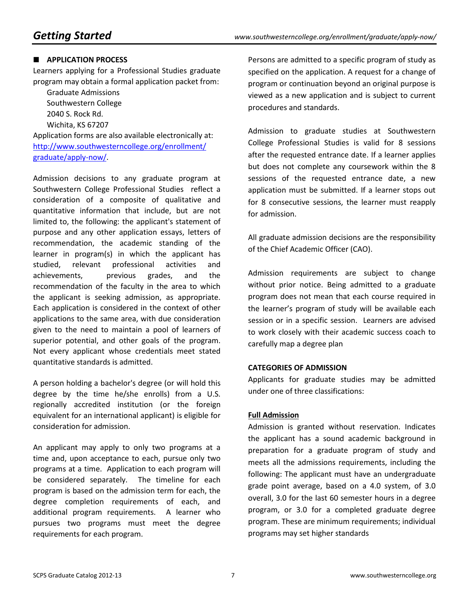#### **APPLICATION PROCESS**

Learners applying for a Professional Studies graduate program may obtain a formal application packet from:

Graduate Admissions Southwestern College 2040 S. Rock Rd. Wichita, KS 67207

Application forms are also available electronically at: [http://www.southwesterncollege.org/enrollment/](http://www.southwesterncollege.org/enrollment/graduate/apply-now/) [graduate/apply-now/.](http://www.southwesterncollege.org/enrollment/graduate/apply-now/)

Admission decisions to any graduate program at Southwestern College Professional Studies reflect a consideration of a composite of qualitative and quantitative information that include, but are not limited to, the following: the applicant's statement of purpose and any other application essays, letters of recommendation, the academic standing of the learner in program(s) in which the applicant has studied, relevant professional activities and achievements, previous grades, and the recommendation of the faculty in the area to which the applicant is seeking admission, as appropriate. Each application is considered in the context of other applications to the same area, with due consideration given to the need to maintain a pool of learners of superior potential, and other goals of the program. Not every applicant whose credentials meet stated quantitative standards is admitted.

A person holding a bachelor's degree (or will hold this degree by the time he/she enrolls) from a U.S. regionally accredited institution (or the foreign equivalent for an international applicant) is eligible for consideration for admission.

An applicant may apply to only two programs at a time and, upon acceptance to each, pursue only two programs at a time. Application to each program will be considered separately. The timeline for each program is based on the admission term for each, the degree completion requirements of each, and additional program requirements. A learner who pursues two programs must meet the degree requirements for each program.

Persons are admitted to a specific program of study as specified on the application. A request for a change of program or continuation beyond an original purpose is viewed as a new application and is subject to current procedures and standards.

Admission to graduate studies at Southwestern College Professional Studies is valid for 8 sessions after the requested entrance date. If a learner applies but does not complete any coursework within the 8 sessions of the requested entrance date, a new application must be submitted. If a learner stops out for 8 consecutive sessions, the learner must reapply for admission.

All graduate admission decisions are the responsibility of the Chief Academic Officer (CAO).

Admission requirements are subject to change without prior notice. Being admitted to a graduate program does not mean that each course required in the learner's program of study will be available each session or in a specific session. Learners are advised to work closely with their academic success coach to carefully map a degree plan

#### **CATEGORIES OF ADMISSION**

Applicants for graduate studies may be admitted under one of three classifications:

#### **Full Admission**

Admission is granted without reservation. Indicates the applicant has a sound academic background in preparation for a graduate program of study and meets all the admissions requirements, including the following: The applicant must have an undergraduate grade point average, based on a 4.0 system, of 3.0 overall, 3.0 for the last 60 semester hours in a degree program, or 3.0 for a completed graduate degree program. These are minimum requirements; individual programs may set higher standards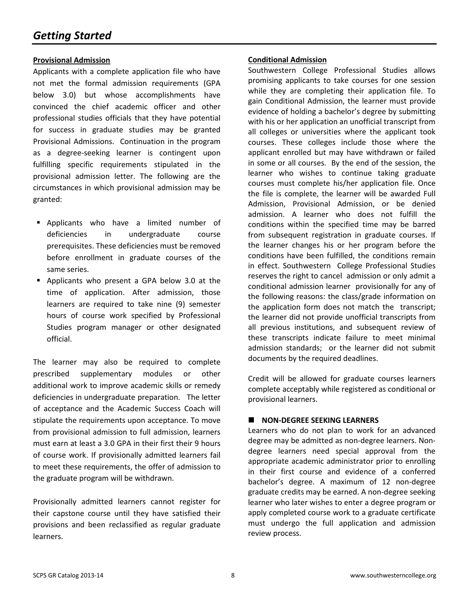#### **Provisional Admission**

Applicants with a complete application file who have not met the formal admission requirements (GPA below 3.0) but whose accomplishments have convinced the chief academic officer and other professional studies officials that they have potential for success in graduate studies may be granted Provisional Admissions. Continuation in the program as a degree-seeking learner is contingent upon fulfilling specific requirements stipulated in the provisional admission letter. The following are the circumstances in which provisional admission may be granted:

- Applicants who have a limited number of deficiencies in undergraduate course prerequisites. These deficiencies must be removed before enrollment in graduate courses of the same series.
- Applicants who present a GPA below 3.0 at the time of application. After admission, those learners are required to take nine (9) semester hours of course work specified by Professional Studies program manager or other designated official.

The learner may also be required to complete prescribed supplementary modules or other additional work to improve academic skills or remedy deficiencies in undergraduate preparation. The letter of acceptance and the Academic Success Coach will stipulate the requirements upon acceptance. To move from provisional admission to full admission, learners must earn at least a 3.0 GPA in their first their 9 hours of course work. If provisionally admitted learners fail to meet these requirements, the offer of admission to the graduate program will be withdrawn.

Provisionally admitted learners cannot register for their capstone course until they have satisfied their provisions and been reclassified as regular graduate learners.

#### **Conditional Admission**

Southwestern College Professional Studies allows promising applicants to take courses for one session while they are completing their application file. To gain Conditional Admission, the learner must provide evidence of holding a bachelor's degree by submitting with his or her application an unofficial transcript from all colleges or universities where the applicant took courses. These colleges include those where the applicant enrolled but may have withdrawn or failed in some or all courses. By the end of the session, the learner who wishes to continue taking graduate courses must complete his/her application file. Once the file is complete, the learner will be awarded Full Admission, Provisional Admission, or be denied admission. A learner who does not fulfill the conditions within the specified time may be barred from subsequent registration in graduate courses. If the learner changes his or her program before the conditions have been fulfilled, the conditions remain in effect. Southwestern College Professional Studies reserves the right to cancel admission or only admit a conditional admission learner provisionally for any of the following reasons: the class/grade information on the application form does not match the transcript; the learner did not provide unofficial transcripts from all previous institutions, and subsequent review of these transcripts indicate failure to meet minimal admission standards; or the learner did not submit documents by the required deadlines.

Credit will be allowed for graduate courses learners complete acceptably while registered as conditional or provisional learners.

#### **NON-DEGREE SEEKING LEARNERS**

Learners who do not plan to work for an advanced degree may be admitted as non-degree learners. Nondegree learners need special approval from the appropriate academic administrator prior to enrolling in their first course and evidence of a conferred bachelor's degree. A maximum of 12 non-degree graduate credits may be earned. A non-degree seeking learner who later wishes to enter a degree program or apply completed course work to a graduate certificate must undergo the full application and admission review process.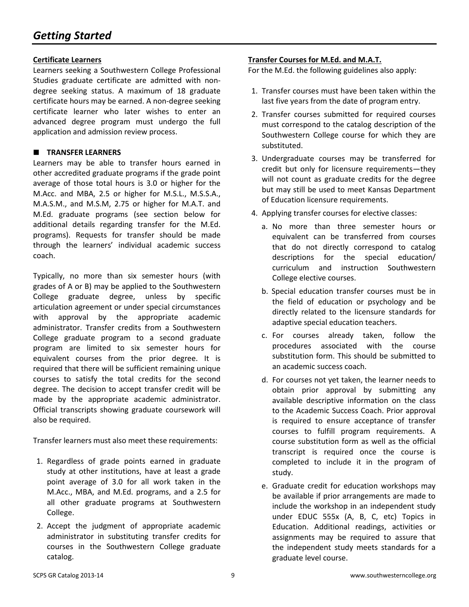#### **Certificate Learners**

Learners seeking a Southwestern College Professional Studies graduate certificate are admitted with nondegree seeking status. A maximum of 18 graduate certificate hours may be earned. A non-degree seeking certificate learner who later wishes to enter an advanced degree program must undergo the full application and admission review process.

#### **TRANSFER LEARNERS**

Learners may be able to transfer hours earned in other accredited graduate programs if the grade point average of those total hours is 3.0 or higher for the M.Acc. and MBA, 2.5 or higher for M.S.L., M.S.S.A., M.A.S.M., and M.S.M, 2.75 or higher for M.A.T. and M.Ed. graduate programs (see section below for additional details regarding transfer for the M.Ed. programs). Requests for transfer should be made through the learners' individual academic success coach.

Typically, no more than six semester hours (with grades of A or B) may be applied to the Southwestern College graduate degree, unless by specific articulation agreement or under special circumstances with approval by the appropriate academic administrator. Transfer credits from a Southwestern College graduate program to a second graduate program are limited to six semester hours for equivalent courses from the prior degree. It is required that there will be sufficient remaining unique courses to satisfy the total credits for the second degree. The decision to accept transfer credit will be made by the appropriate academic administrator. Official transcripts showing graduate coursework will also be required.

Transfer learners must also meet these requirements:

- 1. Regardless of grade points earned in graduate study at other institutions, have at least a grade point average of 3.0 for all work taken in the M.Acc., MBA, and M.Ed. programs, and a 2.5 for all other graduate programs at Southwestern College.
- 2. Accept the judgment of appropriate academic administrator in substituting transfer credits for courses in the Southwestern College graduate catalog.

#### **Transfer Courses for M.Ed. and M.A.T.**

For the M.Ed. the following guidelines also apply:

- 1. Transfer courses must have been taken within the last five years from the date of program entry.
- 2. Transfer courses submitted for required courses must correspond to the catalog description of the Southwestern College course for which they are substituted.
- 3. Undergraduate courses may be transferred for credit but only for licensure requirements—they will not count as graduate credits for the degree but may still be used to meet Kansas Department of Education licensure requirements.
- 4. Applying transfer courses for elective classes:
	- a. No more than three semester hours or equivalent can be transferred from courses that do not directly correspond to catalog descriptions for the special education/ curriculum and instruction Southwestern College elective courses.
	- b. Special education transfer courses must be in the field of education or psychology and be directly related to the licensure standards for adaptive special education teachers.
	- c. For courses already taken, follow the procedures associated with the course substitution form. This should be submitted to an academic success coach.
	- d. For courses not yet taken, the learner needs to obtain prior approval by submitting any available descriptive information on the class to the Academic Success Coach. Prior approval is required to ensure acceptance of transfer courses to fulfill program requirements. A course substitution form as well as the official transcript is required once the course is completed to include it in the program of study.
	- e. Graduate credit for education workshops may be available if prior arrangements are made to include the workshop in an independent study under EDUC 555x (A, B, C, etc) Topics in Education. Additional readings, activities or assignments may be required to assure that the independent study meets standards for a graduate level course.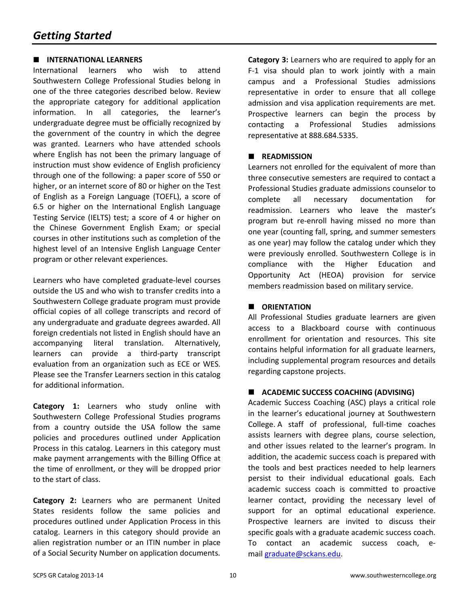#### **INTERNATIONAL LEARNERS**

International learners who wish to attend Southwestern College Professional Studies belong in one of the three categories described below. Review the appropriate category for additional application information. In all categories, the learner's undergraduate degree must be officially recognized by the government of the country in which the degree was granted. Learners who have attended schools where English has not been the primary language of instruction must show evidence of English proficiency through one of the following: a paper score of 550 or higher, or an internet score of 80 or higher on the Test of English as a Foreign Language (TOEFL), a score of 6.5 or higher on the International English Language Testing Service (IELTS) test; a score of 4 or higher on the Chinese Government English Exam; or special courses in other institutions such as completion of the highest level of an Intensive English Language Center program or other relevant experiences.

Learners who have completed graduate-level courses outside the US and who wish to transfer credits into a Southwestern College graduate program must provide official copies of all college transcripts and record of any undergraduate and graduate degrees awarded. All foreign credentials not listed in English should have an accompanying literal translation. Alternatively, learners can provide a third-party transcript evaluation from an organization such as ECE or WES. Please see the Transfer Learners section in this catalog for additional information.

**Category 1:** Learners who study online with Southwestern College Professional Studies programs from a country outside the USA follow the same policies and procedures outlined under Application Process in this catalog. Learners in this category must make payment arrangements with the Billing Office at the time of enrollment, or they will be dropped prior to the start of class.

**Category 2:** Learners who are permanent United States residents follow the same policies and procedures outlined under Application Process in this catalog. Learners in this category should provide an alien registration number or an ITIN number in place of a Social Security Number on application documents.

**Category 3:** Learners who are required to apply for an F-1 visa should plan to work jointly with a main campus and a Professional Studies admissions representative in order to ensure that all college admission and visa application requirements are met. Prospective learners can begin the process by contacting a Professional Studies admissions representative at 888.684.5335.

#### **READMISSION**

Learners not enrolled for the equivalent of more than three consecutive semesters are required to contact a Professional Studies graduate admissions counselor to complete all necessary documentation for readmission. Learners who leave the master's program but re-enroll having missed no more than one year (counting fall, spring, and summer semesters as one year) may follow the catalog under which they were previously enrolled. Southwestern College is in compliance with the Higher Education and Opportunity Act (HEOA) provision for service members readmission based on military service.

#### $\blacksquare$  **ORIENTATION**

All Professional Studies graduate learners are given access to a Blackboard course with continuous enrollment for orientation and resources. This site contains helpful information for all graduate learners, including supplemental program resources and details regarding capstone projects.

#### **ACADEMIC SUCCESS COACHING (ADVISING)**

Academic Success Coaching (ASC) plays a critical role in the learner's educational journey at Southwestern College. A staff of professional, full-time coaches assists learners with degree plans, course selection, and other issues related to the learner's program. In addition, the academic success coach is prepared with the tools and best practices needed to help learners persist to their individual educational goals. Each academic success coach is committed to proactive learner contact, providing the necessary level of support for an optimal educational experience. Prospective learners are invited to discuss their specific goals with a graduate academic success coach. To contact an academic success coach, mail graduate@sckans.edu.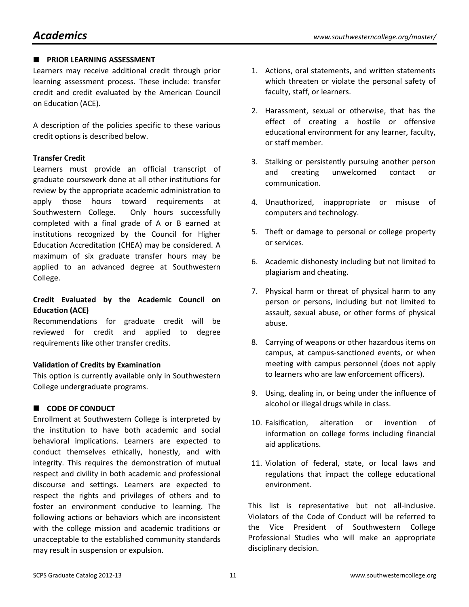#### **PRIOR LEARNING ASSESSMENT**

Learners may receive additional credit through prior learning assessment process. These include: transfer credit and credit evaluated by the American Council on Education (ACE).

A description of the policies specific to these various credit options is described below.

#### **Transfer Credit**

Learners must provide an official transcript of graduate coursework done at all other institutions for review by the appropriate academic administration to apply those hours toward requirements at Southwestern College. Only hours successfully completed with a final grade of A or B earned at institutions recognized by the Council for Higher Education Accreditation (CHEA) may be considered. A maximum of six graduate transfer hours may be applied to an advanced degree at Southwestern College.

### **Credit Evaluated by the Academic Council on Education (ACE)**

Recommendations for graduate credit will be reviewed for credit and applied to degree requirements like other transfer credits.

### **Validation of Credits by Examination**

This option is currently available only in Southwestern College undergraduate programs.

### **CODE OF CONDUCT**

Enrollment at Southwestern College is interpreted by the institution to have both academic and social behavioral implications. Learners are expected to conduct themselves ethically, honestly, and with integrity. This requires the demonstration of mutual respect and civility in both academic and professional discourse and settings. Learners are expected to respect the rights and privileges of others and to foster an environment conducive to learning. The following actions or behaviors which are inconsistent with the college mission and academic traditions or unacceptable to the established community standards may result in suspension or expulsion.

- 1. Actions, oral statements, and written statements which threaten or violate the personal safety of faculty, staff, or learners.
- 2. Harassment, sexual or otherwise, that has the effect of creating a hostile or offensive educational environment for any learner, faculty, or staff member.
- 3. Stalking or persistently pursuing another person and creating unwelcomed contact or communication.
- 4. Unauthorized, inappropriate or misuse of computers and technology.
- 5. Theft or damage to personal or college property or services.
- 6. Academic dishonesty including but not limited to plagiarism and cheating.
- 7. Physical harm or threat of physical harm to any person or persons, including but not limited to assault, sexual abuse, or other forms of physical abuse.
- 8. Carrying of weapons or other hazardous items on campus, at campus-sanctioned events, or when meeting with campus personnel (does not apply to learners who are law enforcement officers).
- 9. Using, dealing in, or being under the influence of alcohol or illegal drugs while in class.
- 10. Falsification, alteration or invention of information on college forms including financial aid applications.
- 11. Violation of federal, state, or local laws and regulations that impact the college educational environment.

This list is representative but not all-inclusive. Violators of the Code of Conduct will be referred to the Vice President of Southwestern College Professional Studies who will make an appropriate disciplinary decision.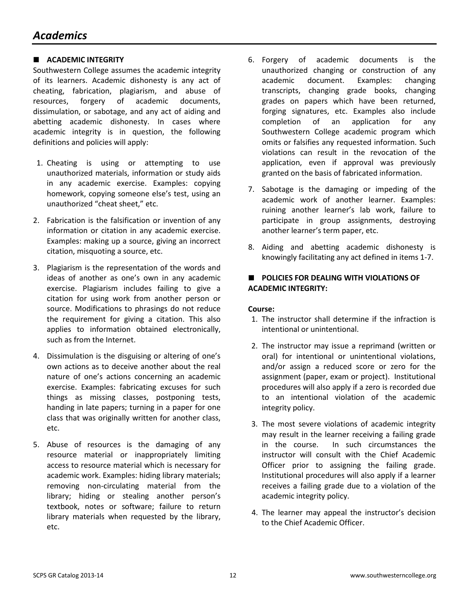#### **ACADEMIC INTEGRITY**

Southwestern College assumes the academic integrity of its learners. Academic dishonesty is any act of cheating, fabrication, plagiarism, and abuse of resources, forgery of academic documents, dissimulation, or sabotage, and any act of aiding and abetting academic dishonesty. In cases where academic integrity is in question, the following definitions and policies will apply:

- 1. Cheating is using or attempting to use unauthorized materials, information or study aids in any academic exercise. Examples: copying homework, copying someone else's test, using an unauthorized "cheat sheet," etc.
- 2. Fabrication is the falsification or invention of any information or citation in any academic exercise. Examples: making up a source, giving an incorrect citation, misquoting a source, etc.
- 3. Plagiarism is the representation of the words and ideas of another as one's own in any academic exercise. Plagiarism includes failing to give a citation for using work from another person or source. Modifications to phrasings do not reduce the requirement for giving a citation. This also applies to information obtained electronically, such as from the Internet.
- 4. Dissimulation is the disguising or altering of one's own actions as to deceive another about the real nature of one's actions concerning an academic exercise. Examples: fabricating excuses for such things as missing classes, postponing tests, handing in late papers; turning in a paper for one class that was originally written for another class, etc.
- 5. Abuse of resources is the damaging of any resource material or inappropriately limiting access to resource material which is necessary for academic work. Examples: hiding library materials; removing non-circulating material from the library; hiding or stealing another person's textbook, notes or software; failure to return library materials when requested by the library, etc.
- 6. Forgery of academic documents is the unauthorized changing or construction of any academic document. Examples: changing transcripts, changing grade books, changing grades on papers which have been returned, forging signatures, etc. Examples also include completion of an application for any Southwestern College academic program which omits or falsifies any requested information. Such violations can result in the revocation of the application, even if approval was previously granted on the basis of fabricated information.
- 7. Sabotage is the damaging or impeding of the academic work of another learner. Examples: ruining another learner's lab work, failure to participate in group assignments, destroying another learner's term paper, etc.
- 8. Aiding and abetting academic dishonesty is knowingly facilitating any act defined in items 1-7.

#### **POLICIES FOR DEALING WITH VIOLATIONS OF ACADEMIC INTEGRITY:**

#### **Course:**

- 1. The instructor shall determine if the infraction is intentional or unintentional.
- 2. The instructor may issue a reprimand (written or oral) for intentional or unintentional violations, and/or assign a reduced score or zero for the assignment (paper, exam or project). Institutional procedures will also apply if a zero is recorded due to an intentional violation of the academic integrity policy.
- 3. The most severe violations of academic integrity may result in the learner receiving a failing grade in the course. In such circumstances the instructor will consult with the Chief Academic Officer prior to assigning the failing grade. Institutional procedures will also apply if a learner receives a failing grade due to a violation of the academic integrity policy.
- 4. The learner may appeal the instructor's decision to the Chief Academic Officer.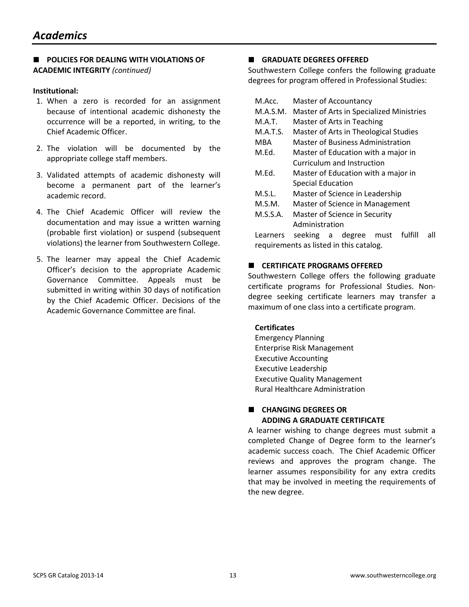#### **POLICIES FOR DEALING WITH VIOLATIONS OF ACADEMIC INTEGRITY** *(continued)*

#### **Institutional:**

- 1. When a zero is recorded for an assignment because of intentional academic dishonesty the occurrence will be a reported, in writing, to the Chief Academic Officer.
- 2. The violation will be documented by the appropriate college staff members.
- 3. Validated attempts of academic dishonesty will become a permanent part of the learner's academic record.
- 4. The Chief Academic Officer will review the documentation and may issue a written warning (probable first violation) or suspend (subsequent violations) the learner from Southwestern College.
- 5. The learner may appeal the Chief Academic Officer's decision to the appropriate Academic Governance Committee. Appeals must be submitted in writing within 30 days of notification by the Chief Academic Officer. Decisions of the Academic Governance Committee are final.

#### **GRADUATE DEGREES OFFERED**

Southwestern College confers the following graduate degrees for program offered in Professional Studies:

- M.Acc. Master of Accountancy
- M.A.S.M. Master of Arts in Specialized Ministries
- M.A.T. Master of Arts in Teaching
- M.A.T.S. Master of Arts in Theological Studies
- MBA Master of Business Administration
- M.Ed. Master of Education with a major in Curriculum and Instruction
- M.Ed. Master of Education with a major in Special Education
- M.S.L. Master of Science in Leadership
- M.S.M. Master of Science in Management
- M.S.S.A. Master of Science in Security Administration

Learners seeking a degree must fulfill all requirements as listed in this catalog.

#### **CERTIFICATE PROGRAMS OFFERED**

Southwestern College offers the following graduate certificate programs for Professional Studies. Nondegree seeking certificate learners may transfer a maximum of one class into a certificate program.

#### **Certificates**

Emergency Planning Enterprise Risk Management Executive Accounting Executive Leadership Executive Quality Management Rural Healthcare Administration

#### **CHANGING DEGREES OR ADDING A GRADUATE CERTIFICATE**

A learner wishing to change degrees must submit a completed Change of Degree form to the learner's academic success coach. The Chief Academic Officer reviews and approves the program change. The learner assumes responsibility for any extra credits that may be involved in meeting the requirements of the new degree.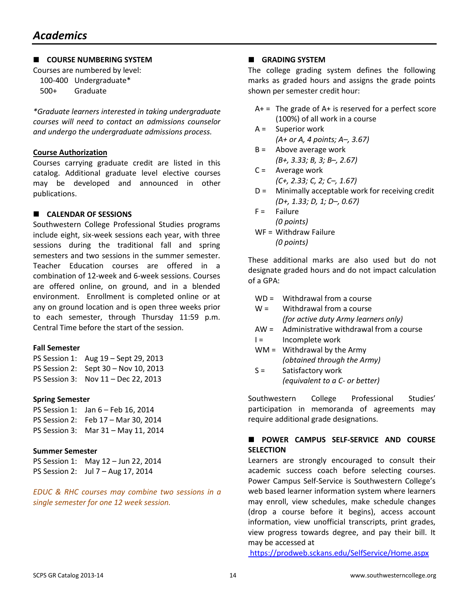#### **COURSE NUMBERING SYSTEM**

Courses are numbered by level: 100-400 Undergraduate\* 500+ Graduate

*\*Graduate learners interested in taking undergraduate courses will need to contact an admissions counselor and undergo the undergraduate admissions process.*

#### **Course Authorization**

Courses carrying graduate credit are listed in this catalog. Additional graduate level elective courses may be developed and announced in other publications.

#### **CALENDAR OF SESSIONS**

Southwestern College Professional Studies programs include eight, six-week sessions each year, with three sessions during the traditional fall and spring semesters and two sessions in the summer semester. Teacher Education courses are offered in a combination of 12-week and 6-week sessions. Courses are offered online, on ground, and in a blended environment. Enrollment is completed online or at any on ground location and is open three weeks prior to each semester, through Thursday 11:59 p.m. Central Time before the start of the session.

#### **Fall Semester**

| PS Session 1: Aug 19 - Sept 29, 2013 |
|--------------------------------------|
| PS Session 2: Sept 30 – Nov 10, 2013 |
| PS Session 3: Nov 11 - Dec 22, 2013  |

#### **Spring Semester**

PS Session 1: Jan 6 – Feb 16, 2014 PS Session 2: Feb 17 – Mar 30, 2014 PS Session 3: Mar 31 – May 11, 2014

#### **Summer Semester**

PS Session 1: May 12 – Jun 22, 2014 PS Session 2: Jul 7 – Aug 17, 2014

*EDUC & RHC courses may combine two sessions in a single semester for one 12 week session.*

#### **GRADING SYSTEM**

The college grading system defines the following marks as graded hours and assigns the grade points shown per semester credit hour:

- $A+$  = The grade of  $A+$  is reserved for a perfect score (100%) of all work in a course
- A = Superior work *(A+ or A, 4 points; A–, 3.67)*
- $B =$  Above average work *(B+, 3.33; B, 3; B–, 2.67)*
- C = Average work *(C+, 2.33; C, 2; C–, 1.67)*
- D = Minimally acceptable work for receiving credit *(D+, 1.33; D, 1; D–, 0.67)*
- $F =$ Failure *(0 points)*
- WF = Withdraw Failure *(0 points)*

These additional marks are also used but do not designate graded hours and do not impact calculation of a GPA:

- WD = Withdrawal from a course
- $W =$  Withdrawal from a course *(for active duty Army learners only)*
- AW = Administrative withdrawal from a course  $I =$  Incomplete work
- $WM =$  Withdrawal by the Army *(obtained through the Army)*
- S = Satisfactory work *(equivalent to a C- or better)*

Southwestern College Professional Studies' participation in memoranda of agreements may require additional grade designations.

#### **POWER CAMPUS SELF-SERVICE AND COURSE SELECTION**

Learners are strongly encouraged to consult their academic success coach before selecting courses. Power Campus Self-Service is Southwestern College's web based learner information system where learners may enroll, view schedules, make schedule changes (drop a course before it begins), access account information, view unofficial transcripts, print grades, view progress towards degree, and pay their bill. It may be accessed at

<https://prodweb.sckans.edu/SelfService/Home.aspx>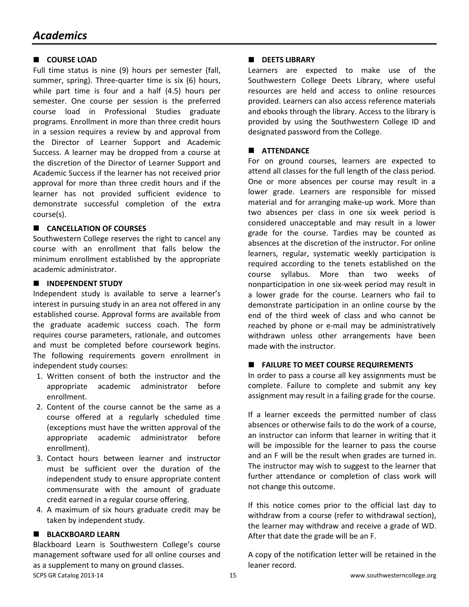#### **COURSE LOAD**

Full time status is nine (9) hours per semester (fall, summer, spring). Three-quarter time is six (6) hours, while part time is four and a half (4.5) hours per semester. One course per session is the preferred course load in Professional Studies graduate programs. Enrollment in more than three credit hours in a session requires a review by and approval from the Director of Learner Support and Academic Success. A learner may be dropped from a course at the discretion of the Director of Learner Support and Academic Success if the learner has not received prior approval for more than three credit hours and if the learner has not provided sufficient evidence to demonstrate successful completion of the extra course(s).

#### **CANCELLATION OF COURSES**

Southwestern College reserves the right to cancel any course with an enrollment that falls below the minimum enrollment established by the appropriate academic administrator.

#### **INDEPENDENT STUDY**

Independent study is available to serve a learner's interest in pursuing study in an area not offered in any established course. Approval forms are available from the graduate academic success coach. The form requires course parameters, rationale, and outcomes and must be completed before coursework begins. The following requirements govern enrollment in independent study courses:

- 1. Written consent of both the instructor and the appropriate academic administrator before enrollment.
- 2. Content of the course cannot be the same as a course offered at a regularly scheduled time (exceptions must have the written approval of the appropriate academic administrator before enrollment).
- 3. Contact hours between learner and instructor must be sufficient over the duration of the independent study to ensure appropriate content commensurate with the amount of graduate credit earned in a regular course offering.
- 4. A maximum of six hours graduate credit may be taken by independent study.

#### **BLACKBOARD LEARN**

SCPS GR Catalog 2013-14 **15** and the set of the set of the set of the set of the set of the set of the set of the set of the set of the set of the set of the set of the set of the set of the set of the set of the set of th Blackboard Learn is Southwestern College's course management software used for all online courses and as a supplement to many on ground classes.

#### **DEETS LIBRARY**

Learners are expected to make use of the Southwestern College Deets Library, where useful resources are held and access to online resources provided. Learners can also access reference materials and ebooks through the library. Access to the library is provided by using the Southwestern College ID and designated password from the College.

#### **ATTENDANCE**

For on ground courses, learners are expected to attend all classes for the full length of the class period. One or more absences per course may result in a lower grade. Learners are responsible for missed material and for arranging make-up work. More than two absences per class in one six week period is considered unacceptable and may result in a lower grade for the course. Tardies may be counted as absences at the discretion of the instructor. For online learners, regular, systematic weekly participation is required according to the tenets established on the course syllabus. More than two weeks of nonparticipation in one six-week period may result in a lower grade for the course. Learners who fail to demonstrate participation in an online course by the end of the third week of class and who cannot be reached by phone or e-mail may be administratively withdrawn unless other arrangements have been made with the instructor.

#### **FAILURE TO MEET COURSE REQUIREMENTS**

In order to pass a course all key assignments must be complete. Failure to complete and submit any key assignment may result in a failing grade for the course.

If a learner exceeds the permitted number of class absences or otherwise fails to do the work of a course, an instructor can inform that learner in writing that it will be impossible for the learner to pass the course and an F will be the result when grades are turned in. The instructor may wish to suggest to the learner that further attendance or completion of class work will not change this outcome.

If this notice comes prior to the official last day to withdraw from a course (refer to withdrawal section), the learner may withdraw and receive a grade of WD. After that date the grade will be an F.

A copy of the notification letter will be retained in the leaner record.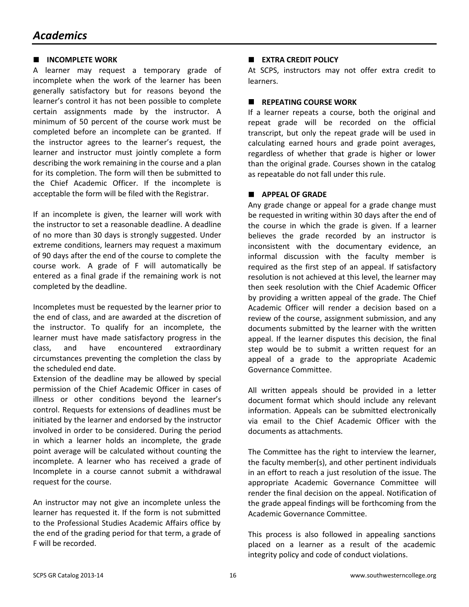#### **INCOMPLETE WORK**

A learner may request a temporary grade of incomplete when the work of the learner has been generally satisfactory but for reasons beyond the learner's control it has not been possible to complete certain assignments made by the instructor. A minimum of 50 percent of the course work must be completed before an incomplete can be granted. If the instructor agrees to the learner's request, the learner and instructor must jointly complete a form describing the work remaining in the course and a plan for its completion. The form will then be submitted to the Chief Academic Officer. If the incomplete is acceptable the form will be filed with the Registrar.

If an incomplete is given, the learner will work with the instructor to set a reasonable deadline. A deadline of no more than 30 days is strongly suggested. Under extreme conditions, learners may request a maximum of 90 days after the end of the course to complete the course work. A grade of F will automatically be entered as a final grade if the remaining work is not completed by the deadline.

Incompletes must be requested by the learner prior to the end of class, and are awarded at the discretion of the instructor. To qualify for an incomplete, the learner must have made satisfactory progress in the class, and have encountered extraordinary circumstances preventing the completion the class by the scheduled end date.

Extension of the deadline may be allowed by special permission of the Chief Academic Officer in cases of illness or other conditions beyond the learner's control. Requests for extensions of deadlines must be initiated by the learner and endorsed by the instructor involved in order to be considered. During the period in which a learner holds an incomplete, the grade point average will be calculated without counting the incomplete. A learner who has received a grade of Incomplete in a course cannot submit a withdrawal request for the course.

An instructor may not give an incomplete unless the learner has requested it. If the form is not submitted to the Professional Studies Academic Affairs office by the end of the grading period for that term, a grade of F will be recorded.

#### **EXTRA CREDIT POLICY**

At SCPS, instructors may not offer extra credit to learners.

#### **REPEATING COURSE WORK**

If a learner repeats a course, both the original and repeat grade will be recorded on the official transcript, but only the repeat grade will be used in calculating earned hours and grade point averages, regardless of whether that grade is higher or lower than the original grade. Courses shown in the catalog as repeatable do not fall under this rule.

#### **APPEAL OF GRADE**

Any grade change or appeal for a grade change must be requested in writing within 30 days after the end of the course in which the grade is given. If a learner believes the grade recorded by an instructor is inconsistent with the documentary evidence, an informal discussion with the faculty member is required as the first step of an appeal. If satisfactory resolution is not achieved at this level, the learner may then seek resolution with the Chief Academic Officer by providing a written appeal of the grade. The Chief Academic Officer will render a decision based on a review of the course, assignment submission, and any documents submitted by the learner with the written appeal. If the learner disputes this decision, the final step would be to submit a written request for an appeal of a grade to the appropriate Academic Governance Committee.

All written appeals should be provided in a letter document format which should include any relevant information. Appeals can be submitted electronically via email to the Chief Academic Officer with the documents as attachments.

The Committee has the right to interview the learner, the faculty member(s), and other pertinent individuals in an effort to reach a just resolution of the issue. The appropriate Academic Governance Committee will render the final decision on the appeal. Notification of the grade appeal findings will be forthcoming from the Academic Governance Committee.

This process is also followed in appealing sanctions placed on a learner as a result of the academic integrity policy and code of conduct violations.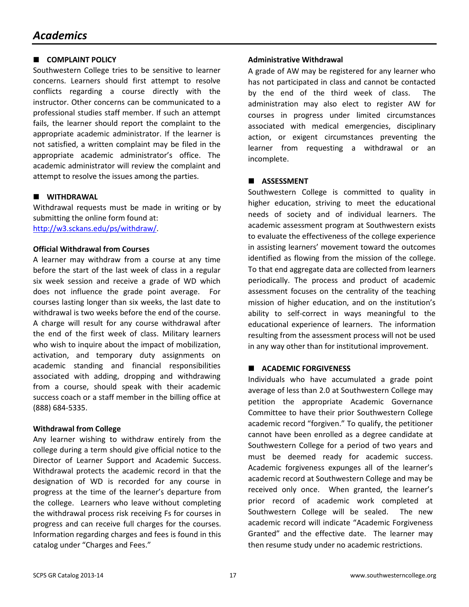#### **E** COMPLAINT POLICY

Southwestern College tries to be sensitive to learner concerns. Learners should first attempt to resolve conflicts regarding a course directly with the instructor. Other concerns can be communicated to a professional studies staff member. If such an attempt fails, the learner should report the complaint to the appropriate academic administrator. If the learner is not satisfied, a written complaint may be filed in the appropriate academic administrator's office. The academic administrator will review the complaint and attempt to resolve the issues among the parties.

#### **WITHDRAWAL**

Withdrawal requests must be made in writing or by submitting the online form found at: [http://w3.sckans.edu/ps/withdraw/.](http://w3.sckans.edu/ps/withdraw/)

#### **Official Withdrawal from Courses**

A learner may withdraw from a course at any time before the start of the last week of class in a regular six week session and receive a grade of WD which does not influence the grade point average. For courses lasting longer than six weeks, the last date to withdrawal is two weeks before the end of the course. A charge will result for any course withdrawal after the end of the first week of class. Military learners who wish to inquire about the impact of mobilization, activation, and temporary duty assignments on academic standing and financial responsibilities associated with adding, dropping and withdrawing from a course, should speak with their academic success coach or a staff member in the billing office at (888) 684-5335.

#### **Withdrawal from College**

Any learner wishing to withdraw entirely from the college during a term should give official notice to the Director of Learner Support and Academic Success. Withdrawal protects the academic record in that the designation of WD is recorded for any course in progress at the time of the learner's departure from the college. Learners who leave without completing the withdrawal process risk receiving Fs for courses in progress and can receive full charges for the courses. Information regarding charges and fees is found in this catalog under "Charges and Fees."

#### **Administrative Withdrawal**

A grade of AW may be registered for any learner who has not participated in class and cannot be contacted by the end of the third week of class. The administration may also elect to register AW for courses in progress under limited circumstances associated with medical emergencies, disciplinary action, or exigent circumstances preventing the learner from requesting a withdrawal or an incomplete.

#### **ASSESSMENT**

Southwestern College is committed to quality in higher education, striving to meet the educational needs of society and of individual learners. The academic assessment program at Southwestern exists to evaluate the effectiveness of the college experience in assisting learners' movement toward the outcomes identified as flowing from the mission of the college. To that end aggregate data are collected from learners periodically. The process and product of academic assessment focuses on the centrality of the teaching mission of higher education, and on the institution's ability to self-correct in ways meaningful to the educational experience of learners. The information resulting from the assessment process will not be used in any way other than for institutional improvement.

#### **ACADEMIC FORGIVENESS**

Individuals who have accumulated a grade point average of less than 2.0 at Southwestern College may petition the appropriate Academic Governance Committee to have their prior Southwestern College academic record "forgiven." To qualify, the petitioner cannot have been enrolled as a degree candidate at Southwestern College for a period of two years and must be deemed ready for academic success. Academic forgiveness expunges all of the learner's academic record at Southwestern College and may be received only once. When granted, the learner's prior record of academic work completed at Southwestern College will be sealed. The new academic record will indicate "Academic Forgiveness Granted" and the effective date. The learner may then resume study under no academic restrictions.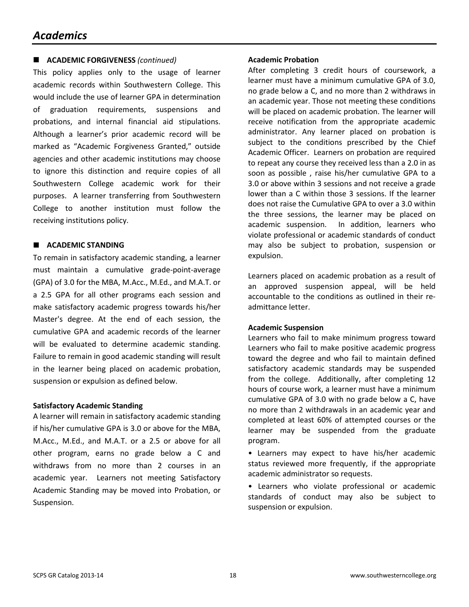### *Academics*

#### **ACADEMIC FORGIVENESS** *(continued)*

This policy applies only to the usage of learner academic records within Southwestern College. This would include the use of learner GPA in determination of graduation requirements, suspensions and probations, and internal financial aid stipulations. Although a learner's prior academic record will be marked as "Academic Forgiveness Granted," outside agencies and other academic institutions may choose to ignore this distinction and require copies of all Southwestern College academic work for their purposes. A learner transferring from Southwestern College to another institution must follow the receiving institutions policy.

#### **ACADEMIC STANDING**

To remain in satisfactory academic standing, a learner must maintain a cumulative grade-point-average (GPA) of 3.0 for the MBA, M.Acc., M.Ed., and M.A.T. or a 2.5 GPA for all other programs each session and make satisfactory academic progress towards his/her Master's degree. At the end of each session, the cumulative GPA and academic records of the learner will be evaluated to determine academic standing. Failure to remain in good academic standing will result in the learner being placed on academic probation, suspension or expulsion as defined below.

#### **Satisfactory Academic Standing**

A learner will remain in satisfactory academic standing if his/her cumulative GPA is 3.0 or above for the MBA, M.Acc., M.Ed., and M.A.T. or a 2.5 or above for all other program, earns no grade below a C and withdraws from no more than 2 courses in an academic year. Learners not meeting Satisfactory Academic Standing may be moved into Probation, or Suspension.

#### **Academic Probation**

After completing 3 credit hours of coursework, a learner must have a minimum cumulative GPA of 3.0, no grade below a C, and no more than 2 withdraws in an academic year. Those not meeting these conditions will be placed on academic probation. The learner will receive notification from the appropriate academic administrator. Any learner placed on probation is subject to the conditions prescribed by the Chief Academic Officer. Learners on probation are required to repeat any course they received less than a 2.0 in as soon as possible , raise his/her cumulative GPA to a 3.0 or above within 3 sessions and not receive a grade lower than a C within those 3 sessions. If the learner does not raise the Cumulative GPA to over a 3.0 within the three sessions, the learner may be placed on academic suspension. In addition, learners who violate professional or academic standards of conduct may also be subject to probation, suspension or expulsion.

Learners placed on academic probation as a result of an approved suspension appeal, will be held accountable to the conditions as outlined in their readmittance letter.

#### **Academic Suspension**

Learners who fail to make minimum progress toward Learners who fail to make positive academic progress toward the degree and who fail to maintain defined satisfactory academic standards may be suspended from the college. Additionally, after completing 12 hours of course work, a learner must have a minimum cumulative GPA of 3.0 with no grade below a C, have no more than 2 withdrawals in an academic year and completed at least 60% of attempted courses or the learner may be suspended from the graduate program.

• Learners may expect to have his/her academic status reviewed more frequently, if the appropriate academic administrator so requests.

• Learners who violate professional or academic standards of conduct may also be subject to suspension or expulsion.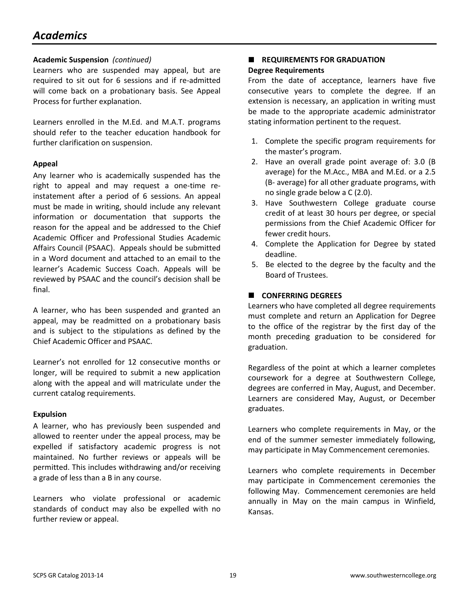# *Academics*

#### **Academic Suspension** *(continued)*

Learners who are suspended may appeal, but are required to sit out for 6 sessions and if re-admitted will come back on a probationary basis. See Appeal Process for further explanation.

Learners enrolled in the M.Ed. and M.A.T. programs should refer to the teacher education handbook for further clarification on suspension.

#### **Appeal**

Any learner who is academically suspended has the right to appeal and may request a one-time reinstatement after a period of 6 sessions. An appeal must be made in writing, should include any relevant information or documentation that supports the reason for the appeal and be addressed to the Chief Academic Officer and Professional Studies Academic Affairs Council (PSAAC). Appeals should be submitted in a Word document and attached to an email to the learner's Academic Success Coach. Appeals will be reviewed by PSAAC and the council's decision shall be final.

A learner, who has been suspended and granted an appeal, may be readmitted on a probationary basis and is subject to the stipulations as defined by the Chief Academic Officer and PSAAC.

Learner's not enrolled for 12 consecutive months or longer, will be required to submit a new application along with the appeal and will matriculate under the current catalog requirements.

#### **Expulsion**

A learner, who has previously been suspended and allowed to reenter under the appeal process, may be expelled if satisfactory academic progress is not maintained. No further reviews or appeals will be permitted. This includes withdrawing and/or receiving a grade of less than a B in any course.

Learners who violate professional or academic standards of conduct may also be expelled with no further review or appeal.

# **REQUIREMENTS FOR GRADUATION**

#### **Degree Requirements**

From the date of acceptance, learners have five consecutive years to complete the degree. If an extension is necessary, an application in writing must be made to the appropriate academic administrator stating information pertinent to the request.

- 1. Complete the specific program requirements for the master's program.
- 2. Have an overall grade point average of: 3.0 (B average) for the M.Acc., MBA and M.Ed. or a 2.5 (B- average) for all other graduate programs, with no single grade below a C (2.0).
- 3. Have Southwestern College graduate course credit of at least 30 hours per degree, or special permissions from the Chief Academic Officer for fewer credit hours.
- 4. Complete the Application for Degree by stated deadline.
- 5. Be elected to the degree by the faculty and the Board of Trustees.

#### **CONFERRING DEGREES**

Learners who have completed all degree requirements must complete and return an Application for Degree to the office of the registrar by the first day of the month preceding graduation to be considered for graduation.

Regardless of the point at which a learner completes coursework for a degree at Southwestern College, degrees are conferred in May, August, and December. Learners are considered May, August, or December graduates.

Learners who complete requirements in May, or the end of the summer semester immediately following, may participate in May Commencement ceremonies.

Learners who complete requirements in December may participate in Commencement ceremonies the following May. Commencement ceremonies are held annually in May on the main campus in Winfield, Kansas.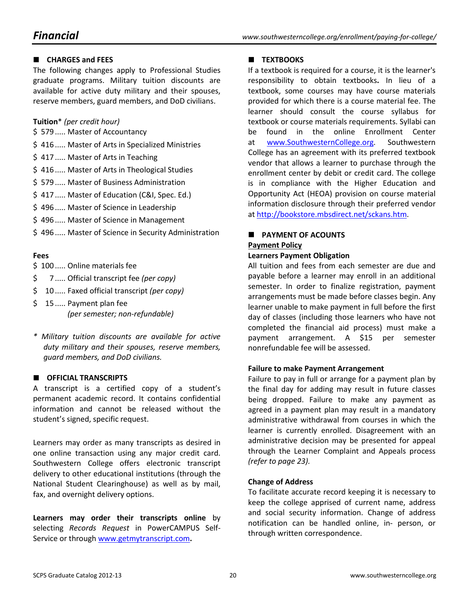#### **CHARGES and FEES**

The following changes apply to Professional Studies graduate programs. Military tuition discounts are available for active duty military and their spouses, reserve members, guard members, and DoD civilians.

#### **Tuition**\* *(per credit hour)*

- \$ 579 ..... Master of Accountancy
- \$ 416 ..... Master of Arts in Specialized Ministries
- \$417 ..... Master of Arts in Teaching
- \$ 416 ..... Master of Arts in Theological Studies
- \$ 579 ..... Master of Business Administration
- \$ 417 ..... Master of Education (C&I, Spec. Ed.)
- \$ 496 ..... Master of Science in Leadership
- \$ 496 ..... Master of Science in Management
- \$ 496 ..... Master of Science in Security Administration

#### **Fees**

- \$100 ..... Online materials fee
- \$ 7 ..... Official transcript fee *(per copy)*
- \$ 10 ..... Faxed official transcript *(per copy)*
- \$ 15 ..... Payment plan fee *(per semester; non-refundable)*
- *\* Military tuition discounts are available for active duty military and their spouses, reserve members, guard members, and DoD civilians.*

#### **CEFICIAL TRANSCRIPTS**

A transcript is a certified copy of a student's permanent academic record. It contains confidential information and cannot be released without the student's signed, specific request.

Learners may order as many transcripts as desired in one online transaction using any major credit card. Southwestern College offers electronic transcript delivery to other educational institutions (through the National Student Clearinghouse) as well as by mail, fax, and overnight delivery options.

**Learners may order their transcripts online** by selecting *Records Request* in PowerCAMPUS Self-Service or through [www.getmytranscript.com](http://www.getmytranscript.com/)**.**

#### **TEXTBOOKS**

If a textbook is required for a course, it is the learner's responsibility to obtain textbooks**.** In lieu of a textbook, some courses may have course materials provided for which there is a course material fee. The learner should consult the course syllabus for textbook or course materials requirements. Syllabi can be found in the online Enrollment Center at [www.SouthwesternCollege.org.](http://www.southwesterncollege.org/) Southwestern College has an agreement with its preferred textbook vendor that allows a learner to purchase through the enrollment center by debit or credit card. The college is in compliance with the Higher Education and Opportunity Act (HEOA) provision on course material information disclosure through their preferred vendor at [http://bookstore.mbsdirect.net/sckans.htm.](http://bookstore.mbsdirect.net/sckans.htm)

#### **PAYMENT OF ACOUNTS Payment Policy**

#### **Learners Payment Obligation**

All tuition and fees from each semester are due and payable before a learner may enroll in an additional semester. In order to finalize registration, payment arrangements must be made before classes begin. Any learner unable to make payment in full before the first day of classes (including those learners who have not completed the financial aid process) must make a payment arrangement. A \$15 per semester nonrefundable fee will be assessed.

#### **Failure to make Payment Arrangement**

Failure to pay in full or arrange for a payment plan by the final day for adding may result in future classes being dropped. Failure to make any payment as agreed in a payment plan may result in a mandatory administrative withdrawal from courses in which the learner is currently enrolled. Disagreement with an administrative decision may be presented for appeal through the Learner Complaint and Appeals process *(refer to page 23).*

#### **Change of Address**

To facilitate accurate record keeping it is necessary to keep the college apprised of current name, address and social security information. Change of address notification can be handled online, in- person, or through written correspondence.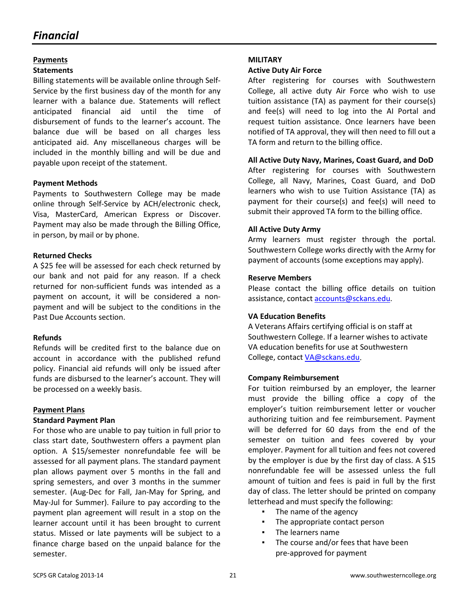# *Financial*

#### **Payments**

#### **Statements**

Billing statements will be available online through Self-Service by the first business day of the month for any learner with a balance due. Statements will reflect anticipated financial aid until the time of disbursement of funds to the learner's account. The balance due will be based on all charges less anticipated aid. Any miscellaneous charges will be included in the monthly billing and will be due and payable upon receipt of the statement.

#### **Payment Methods**

Payments to Southwestern College may be made online through Self-Service by ACH/electronic check, Visa, MasterCard, American Express or Discover. Payment may also be made through the Billing Office, in person, by mail or by phone.

#### **Returned Checks**

A \$25 fee will be assessed for each check returned by our bank and not paid for any reason. If a check returned for non-sufficient funds was intended as a payment on account, it will be considered a nonpayment and will be subject to the conditions in the Past Due Accounts section.

#### **Refunds**

Refunds will be credited first to the balance due on account in accordance with the published refund policy. Financial aid refunds will only be issued after funds are disbursed to the learner's account. They will be processed on a weekly basis.

#### **Payment Plans**

#### **Standard Payment Plan**

For those who are unable to pay tuition in full prior to class start date, Southwestern offers a payment plan option. A \$15/semester nonrefundable fee will be assessed for all payment plans. The standard payment plan allows payment over 5 months in the fall and spring semesters, and over 3 months in the summer semester. (Aug-Dec for Fall, Jan-May for Spring, and May-Jul for Summer). Failure to pay according to the payment plan agreement will result in a stop on the learner account until it has been brought to current status. Missed or late payments will be subject to a finance charge based on the unpaid balance for the semester.

#### **MILITARY**

#### **Active Duty Air Force**

After registering for courses with Southwestern College, all active duty Air Force who wish to use tuition assistance (TA) as payment for their course(s) and fee(s) will need to log into the AI Portal and request tuition assistance. Once learners have been notified of TA approval, they will then need to fill out a TA form and return to the billing office.

#### **All Active Duty Navy, Marines, Coast Guard, and DoD**

After registering for courses with Southwestern College, all Navy, Marines, Coast Guard, and DoD learners who wish to use Tuition Assistance (TA) as payment for their course(s) and fee(s) will need to submit their approved TA form to the billing office.

#### **All Active Duty Army**

Army learners must register through the portal. Southwestern College works directly with the Army for payment of accounts (some exceptions may apply).

#### **Reserve Members**

Please contact the billing office details on tuition assistance, contact accounts@sckans.edu.

#### **VA Education Benefits**

A Veterans Affairs certifying official is on staff at Southwestern College. If a learner wishes to activate VA education benefits for use at Southwestern College, contact VA@sckans.edu.

#### **Company Reimbursement**

For tuition reimbursed by an employer, the learner must provide the billing office a copy of the employer's tuition reimbursement letter or voucher authorizing tuition and fee reimbursement. Payment will be deferred for 60 days from the end of the semester on tuition and fees covered by your employer. Payment for all tuition and fees not covered by the employer is due by the first day of class. A \$15 nonrefundable fee will be assessed unless the full amount of tuition and fees is paid in full by the first day of class. The letter should be printed on company letterhead and must specify the following:

- The name of the agency
- The appropriate contact person
- The learners name
- The course and/or fees that have been pre-approved for payment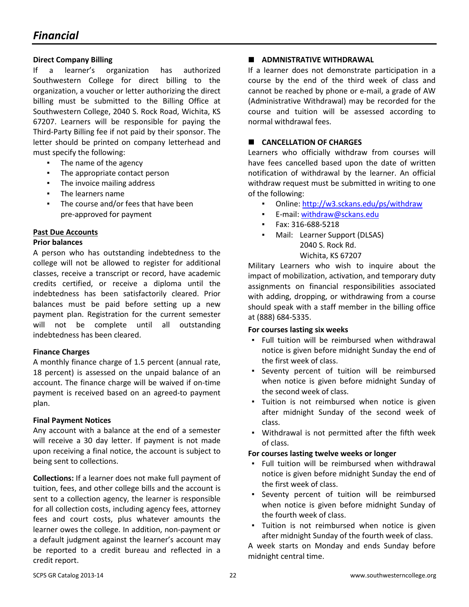#### **Direct Company Billing**

If a learner's organization has authorized Southwestern College for direct billing to the organization, a voucher or letter authorizing the direct billing must be submitted to the Billing Office at Southwestern College, 2040 S. Rock Road, Wichita, KS 67207. Learners will be responsible for paying the Third-Party Billing fee if not paid by their sponsor. The letter should be printed on company letterhead and must specify the following:

- The name of the agency
- The appropriate contact person
- The invoice mailing address
- The learners name
- The course and/or fees that have been pre-approved for payment

#### **Past Due Accounts**

#### **Prior balances**

A person who has outstanding indebtedness to the college will not be allowed to register for additional classes, receive a transcript or record, have academic credits certified, or receive a diploma until the indebtedness has been satisfactorily cleared. Prior balances must be paid before setting up a new payment plan. Registration for the current semester will not be complete until all outstanding indebtedness has been cleared.

#### **Finance Charges**

A monthly finance charge of 1.5 percent (annual rate, 18 percent) is assessed on the unpaid balance of an account. The finance charge will be waived if on-time payment is received based on an agreed-to payment plan.

#### **Final Payment Notices**

Any account with a balance at the end of a semester will receive a 30 day letter. If payment is not made upon receiving a final notice, the account is subject to being sent to collections.

**Collections:** If a learner does not make full payment of tuition, fees, and other college bills and the account is sent to a collection agency, the learner is responsible for all collection costs, including agency fees, attorney fees and court costs, plus whatever amounts the learner owes the college. In addition, non-payment or a default judgment against the learner's account may be reported to a credit bureau and reflected in a credit report.

#### **ADMNISTRATIVE WITHDRAWAL**

If a learner does not demonstrate participation in a course by the end of the third week of class and cannot be reached by phone or e-mail, a grade of AW (Administrative Withdrawal) may be recorded for the course and tuition will be assessed according to normal withdrawal fees.

#### **CANCELLATION OF CHARGES**

Learners who officially withdraw from courses will have fees cancelled based upon the date of written notification of withdrawal by the learner. An official withdraw request must be submitted in writing to one of the following:

- Online:<http://w3.sckans.edu/ps/withdraw>
- E-mail: withdraw@sckans.edu
- Fax: 316-688-5218
- Mail: Learner Support (DLSAS) 2040 S. Rock Rd.

#### Wichita, KS 67207

Military Learners who wish to inquire about the impact of mobilization, activation, and temporary duty assignments on financial responsibilities associated with adding, dropping, or withdrawing from a course should speak with a staff member in the billing office at (888) 684-5335.

#### **For courses lasting six weeks**

- Full tuition will be reimbursed when withdrawal notice is given before midnight Sunday the end of the first week of class.
- Seventy percent of tuition will be reimbursed when notice is given before midnight Sunday of the second week of class.
- Tuition is not reimbursed when notice is given after midnight Sunday of the second week of class.
- Withdrawal is not permitted after the fifth week of class.

#### **For courses lasting twelve weeks or longer**

- Full tuition will be reimbursed when withdrawal notice is given before midnight Sunday the end of the first week of class.
- Seventy percent of tuition will be reimbursed when notice is given before midnight Sunday of the fourth week of class.
- Tuition is not reimbursed when notice is given after midnight Sunday of the fourth week of class.

A week starts on Monday and ends Sunday before midnight central time.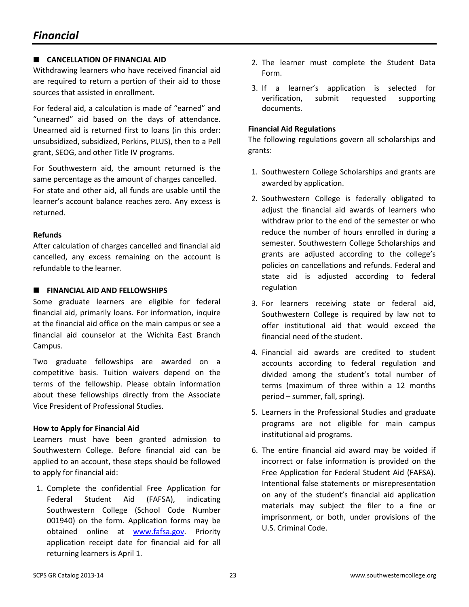#### **CANCELLATION OF FINANCIAL AID**

Withdrawing learners who have received financial aid are required to return a portion of their aid to those sources that assisted in enrollment.

For federal aid, a calculation is made of "earned" and "unearned" aid based on the days of attendance. Unearned aid is returned first to loans (in this order: unsubsidized, subsidized, Perkins, PLUS), then to a Pell grant, SEOG, and other Title IV programs.

For Southwestern aid, the amount returned is the same percentage as the amount of charges cancelled. For state and other aid, all funds are usable until the learner's account balance reaches zero. Any excess is returned.

#### **Refunds**

After calculation of charges cancelled and financial aid cancelled, any excess remaining on the account is refundable to the learner.

#### **FINANCIAL AID AND FELLOWSHIPS**

Some graduate learners are eligible for federal financial aid, primarily loans. For information, inquire at the financial aid office on the main campus or see a financial aid counselor at the Wichita East Branch Campus.

Two graduate fellowships are awarded on a competitive basis. Tuition waivers depend on the terms of the fellowship. Please obtain information about these fellowships directly from the Associate Vice President of Professional Studies.

#### **How to Apply for Financial Aid**

Learners must have been granted admission to Southwestern College. Before financial aid can be applied to an account, these steps should be followed to apply for financial aid:

1. Complete the confidential Free Application for Federal Student Aid (FAFSA), indicating Southwestern College (School Code Number 001940) on the form. Application forms may be obtained online at www.fafsa.gov. Priority application receipt date for financial aid for all returning learners is April 1.

- 2. The learner must complete the Student Data Form.
- 3. If a learner's application is selected for verification, submit requested supporting documents.

#### **Financial Aid Regulations**

The following regulations govern all scholarships and grants:

- 1. Southwestern College Scholarships and grants are awarded by application.
- 2. Southwestern College is federally obligated to adjust the financial aid awards of learners who withdraw prior to the end of the semester or who reduce the number of hours enrolled in during a semester. Southwestern College Scholarships and grants are adjusted according to the college's policies on cancellations and refunds. Federal and state aid is adjusted according to federal regulation
- 3. For learners receiving state or federal aid, Southwestern College is required by law not to offer institutional aid that would exceed the financial need of the student.
- 4. Financial aid awards are credited to student accounts according to federal regulation and divided among the student's total number of terms (maximum of three within a 12 months period – summer, fall, spring).
- 5. Learners in the Professional Studies and graduate programs are not eligible for main campus institutional aid programs.
- 6. The entire financial aid award may be voided if incorrect or false information is provided on the Free Application for Federal Student Aid (FAFSA). Intentional false statements or misrepresentation on any of the student's financial aid application materials may subject the filer to a fine or imprisonment, or both, under provisions of the U.S. Criminal Code.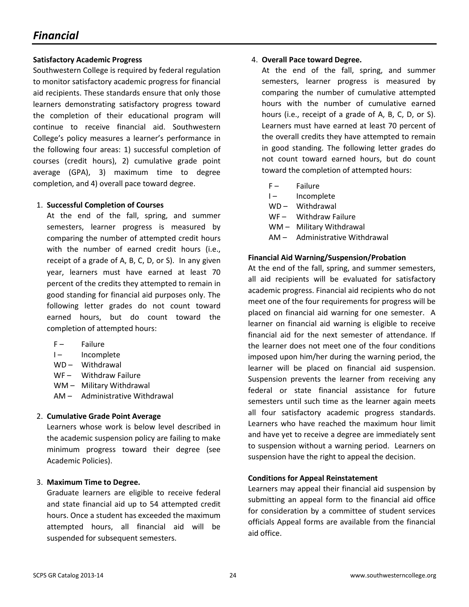# *Financial*

#### **Satisfactory Academic Progress**

Southwestern College is required by federal regulation to monitor satisfactory academic progress for financial aid recipients. These standards ensure that only those learners demonstrating satisfactory progress toward the completion of their educational program will continue to receive financial aid. Southwestern College's policy measures a learner's performance in the following four areas: 1) successful completion of courses (credit hours), 2) cumulative grade point average (GPA), 3) maximum time to degree completion, and 4) overall pace toward degree.

#### 1. **Successful Completion of Courses**

At the end of the fall, spring, and summer semesters, learner progress is measured by comparing the number of attempted credit hours with the number of earned credit hours (i.e., receipt of a grade of A, B, C, D, or S). In any given year, learners must have earned at least 70 percent of the credits they attempted to remain in good standing for financial aid purposes only. The following letter grades do not count toward earned hours, but do count toward the completion of attempted hours:

- F- Failure
- I- Incomplete
- WD Withdrawal
- WF- Withdraw Failure
- WM Military Withdrawal
- AM Administrative Withdrawal

#### 2. **Cumulative Grade Point Average**

Learners whose work is below level described in the academic suspension policy are failing to make minimum progress toward their degree (see Academic Policies).

#### 3. **Maximum Time to Degree.**

Graduate learners are eligible to receive federal and state financial aid up to 54 attempted credit hours. Once a student has exceeded the maximum attempted hours, all financial aid will be suspended for subsequent semesters.

#### 4. **Overall Pace toward Degree.**

At the end of the fall, spring, and summer semesters, learner progress is measured by comparing the number of cumulative attempted hours with the number of cumulative earned hours (i.e., receipt of a grade of A, B, C, D, or S). Learners must have earned at least 70 percent of the overall credits they have attempted to remain in good standing. The following letter grades do not count toward earned hours, but do count toward the completion of attempted hours:

- F Failure
- I- Incomplete
- WD Withdrawal
- WF Withdraw Failure
- WM Military Withdrawal
- AM Administrative Withdrawal

#### **Financial Aid Warning/Suspension/Probation**

At the end of the fall, spring, and summer semesters, all aid recipients will be evaluated for satisfactory academic progress. Financial aid recipients who do not meet one of the four requirements for progress will be placed on financial aid warning for one semester. A learner on financial aid warning is eligible to receive financial aid for the next semester of attendance. If the learner does not meet one of the four conditions imposed upon him/her during the warning period, the learner will be placed on financial aid suspension. Suspension prevents the learner from receiving any federal or state financial assistance for future semesters until such time as the learner again meets all four satisfactory academic progress standards. Learners who have reached the maximum hour limit and have yet to receive a degree are immediately sent to suspension without a warning period. Learners on suspension have the right to appeal the decision.

#### **Conditions for Appeal Reinstatement**

Learners may appeal their financial aid suspension by submitting an appeal form to the financial aid office for consideration by a committee of student services officials Appeal forms are available from the financial aid office.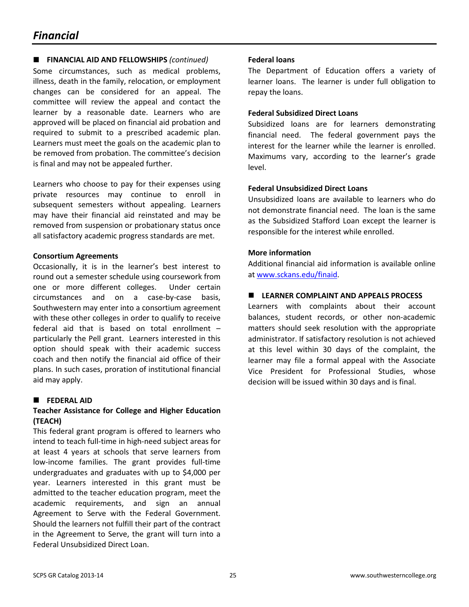### *Financial*

#### **FINANCIAL AID AND FELLOWSHIPS** *(continued)*

Some circumstances, such as medical problems, illness, death in the family, relocation, or employment changes can be considered for an appeal. The committee will review the appeal and contact the learner by a reasonable date. Learners who are approved will be placed on financial aid probation and required to submit to a prescribed academic plan. Learners must meet the goals on the academic plan to be removed from probation. The committee's decision is final and may not be appealed further.

Learners who choose to pay for their expenses using private resources may continue to enroll in subsequent semesters without appealing. Learners may have their financial aid reinstated and may be removed from suspension or probationary status once all satisfactory academic progress standards are met.

#### **Consortium Agreements**

Occasionally, it is in the learner's best interest to round out a semester schedule using coursework from one or more different colleges. Under certain circumstances and on a case-by-case basis, Southwestern may enter into a consortium agreement with these other colleges in order to qualify to receive federal aid that is based on total enrollment – particularly the Pell grant. Learners interested in this option should speak with their academic success coach and then notify the financial aid office of their plans. In such cases, proration of institutional financial aid may apply.

#### **FEDERAL AID**

#### **Teacher Assistance for College and Higher Education (TEACH)**

This federal grant program is offered to learners who intend to teach full-time in high-need subject areas for at least 4 years at schools that serve learners from low-income families. The grant provides full-time undergraduates and graduates with up to \$4,000 per year. Learners interested in this grant must be admitted to the teacher education program, meet the academic requirements, and sign an annual Agreement to Serve with the Federal Government. Should the learners not fulfill their part of the contract in the Agreement to Serve, the grant will turn into a Federal Unsubsidized Direct Loan.

#### **Federal loans**

The Department of Education offers a variety of learner loans. The learner is under full obligation to repay the loans.

#### **Federal Subsidized Direct Loans**

Subsidized loans are for learners demonstrating financial need. The federal government pays the interest for the learner while the learner is enrolled. Maximums vary, according to the learner's grade level.

#### **Federal Unsubsidized Direct Loans**

Unsubsidized loans are available to learners who do not demonstrate financial need. The loan is the same as the Subsidized Stafford Loan except the learner is responsible for the interest while enrolled.

#### **More information**

Additional financial aid information is available online at www.sckans.edu/finaid.

#### **LEARNER COMPLAINT AND APPEALS PROCESS**

Learners with complaints about their account balances, student records, or other non-academic matters should seek resolution with the appropriate administrator. If satisfactory resolution is not achieved at this level within 30 days of the complaint, the learner may file a formal appeal with the Associate Vice President for Professional Studies, whose decision will be issued within 30 days and is final.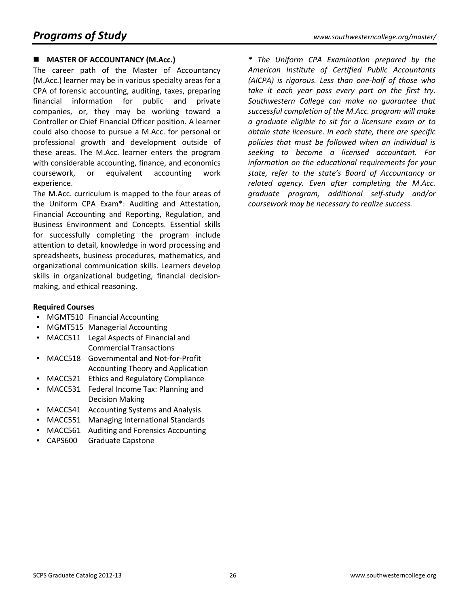#### **MASTER OF ACCOUNTANCY (M.Acc.)**

The career path of the Master of Accountancy (M.Acc.) learner may be in various specialty areas for a CPA of forensic accounting, auditing, taxes, preparing financial information for public and private companies, or, they may be working toward a Controller or Chief Financial Officer position. A learner could also choose to pursue a M.Acc. for personal or professional growth and development outside of these areas. The M.Acc. learner enters the program with considerable accounting, finance, and economics coursework, or equivalent accounting work experience.

The M.Acc. curriculum is mapped to the four areas of the Uniform CPA Exam\*: Auditing and Attestation, Financial Accounting and Reporting, Regulation, and Business Environment and Concepts. Essential skills for successfully completing the program include attention to detail, knowledge in word processing and spreadsheets, business procedures, mathematics, and organizational communication skills. Learners develop skills in organizational budgeting, financial decisionmaking, and ethical reasoning.

#### **Required Courses**

- MGMT510 Financial Accounting
- MGMT515 Managerial Accounting
- MACC511 Legal Aspects of Financial and Commercial Transactions
- MACC518 Governmental and Not-for-Profit Accounting Theory and Application
- MACC521 Ethics and Regulatory Compliance
- MACC531 Federal Income Tax: Planning and Decision Making
- MACC541 Accounting Systems and Analysis
- MACC551 Managing International Standards
- MACC561 Auditing and Forensics Accounting
- CAPS600 Graduate Capstone

*\* The Uniform CPA Examination prepared by the American Institute of Certified Public Accountants (AICPA) is rigorous. Less than one-half of those who take it each year pass every part on the first try. Southwestern College can make no guarantee that successful completion of the M.Acc. program will make a graduate eligible to sit for a licensure exam or to obtain state licensure. In each state, there are specific policies that must be followed when an individual is seeking to become a licensed accountant. For information on the educational requirements for your state, refer to the state's Board of Accountancy or related agency. Even after completing the M.Acc. graduate program, additional self-study and/or coursework may be necessary to realize success.*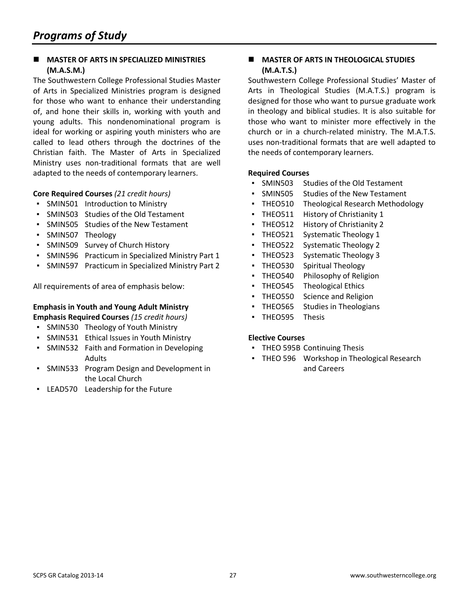#### **MASTER OF ARTS IN SPECIALIZED MINISTRIES (M.A.S.M.)**

The Southwestern College Professional Studies Master of Arts in Specialized Ministries program is designed for those who want to enhance their understanding of, and hone their skills in, working with youth and young adults. This nondenominational program is ideal for working or aspiring youth ministers who are called to lead others through the doctrines of the Christian faith. The Master of Arts in Specialized Ministry uses non-traditional formats that are well adapted to the needs of contemporary learners.

#### **Core Required Courses** *(21 credit hours)*

- SMIN501 Introduction to Ministry
- SMIN503 Studies of the Old Testament
- SMIN505 Studies of the New Testament
- SMIN507 Theology
- SMIN509 Survey of Church History
- SMIN596 Practicum in Specialized Ministry Part 1
- SMIN597 Practicum in Specialized Ministry Part 2

All requirements of area of emphasis below:

#### **Emphasis in Youth and Young Adult Ministry Emphasis Required Courses** *(15 credit hours)*

- SMIN530 Theology of Youth Ministry
- SMIN531 Ethical Issues in Youth Ministry
- SMIN532 Faith and Formation in Developing Adults
- SMIN533 Program Design and Development in the Local Church
- LEAD570 Leadership for the Future

#### **MASTER OF ARTS IN THEOLOGICAL STUDIES (M.A.T.S.)**

Southwestern College Professional Studies' Master of Arts in Theological Studies (M.A.T.S.) program is designed for those who want to pursue graduate work in theology and biblical studies. It is also suitable for those who want to minister more effectively in the church or in a church-related ministry. The M.A.T.S. uses non-traditional formats that are well adapted to the needs of contemporary learners.

#### **Required Courses**

- SMIN503 Studies of the Old Testament
- SMIN505 Studies of the New Testament
- **THEO510 Theological Research Methodology**
- THEO511 History of Christianity 1
- THEO512 History of Christianity 2
- THEO521 Systematic Theology 1
- THEO522 Systematic Theology 2
- THEO523 Systematic Theology 3
- THEO530 Spiritual Theology
- THEO540 Philosophy of Religion
- THEO545 Theological Ethics
- **THEO550 Science and Religion**
- THEO565 Studies in Theologians
- THEO595 Thesis

#### **Elective Courses**

- THEO 595B Continuing Thesis
- **THEO 596 Workshop in Theological Research** and Careers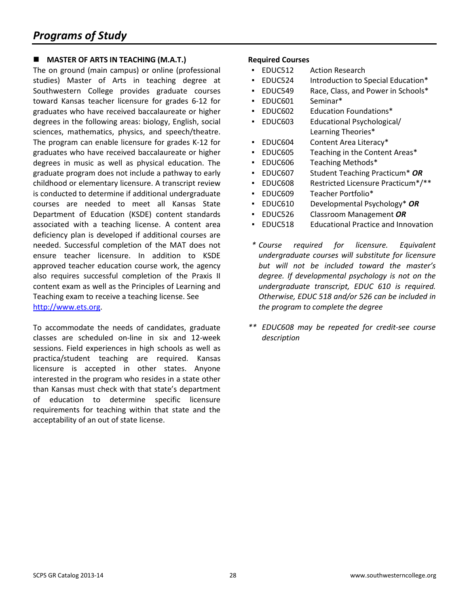#### **MASTER OF ARTS IN TEACHING (M.A.T.)**

The on ground (main campus) or online (professional studies) Master of Arts in teaching degree at Southwestern College provides graduate courses toward Kansas teacher licensure for grades 6-12 for graduates who have received baccalaureate or higher degrees in the following areas: biology, English, social sciences, mathematics, physics, and speech/theatre. The program can enable licensure for grades K-12 for graduates who have received baccalaureate or higher degrees in music as well as physical education. The graduate program does not include a pathway to early childhood or elementary licensure. A transcript review is conducted to determine if additional undergraduate courses are needed to meet all Kansas State Department of Education (KSDE) content standards associated with a teaching license. A content area deficiency plan is developed if additional courses are needed. Successful completion of the MAT does not ensure teacher licensure. In addition to KSDE approved teacher education course work, the agency also requires successful completion of the Praxis II content exam as well as the Principles of Learning and Teaching exam to receive a teaching license. See [http://www.ets.org.](http://www.ets.org/)

To accommodate the needs of candidates, graduate classes are scheduled on-line in six and 12-week sessions. Field experiences in high schools as well as practica/student teaching are required. Kansas licensure is accepted in other states. Anyone interested in the program who resides in a state other than Kansas must check with that state's department of education to determine specific licensure requirements for teaching within that state and the acceptability of an out of state license.

- EDUC512 Action Research
- EDUC524 Introduction to Special Education\*
- EDUC549 Race, Class, and Power in Schools\*
- EDUC601 Seminar\*
- EDUC602 Education Foundations\*
- EDUC603 Educational Psychological/ Learning Theories\*
- EDUC604 Content Area Literacy\*
- EDUC605 Teaching in the Content Areas\*
- EDUC606 Teaching Methods\*
- EDUC607 Student Teaching Practicum\* *OR*
- EDUC608 Restricted Licensure Practicum\*/\*\*
- EDUC609 Teacher Portfolio\*
- EDUC610 Developmental Psychology\* *OR*
- EDUC526 Classroom Management *OR*
- EDUC518 Educational Practice and Innovation
- *\* Course required for licensure. Equivalent undergraduate courses will substitute for licensure but will not be included toward the master's degree. If developmental psychology is not on the undergraduate transcript, EDUC 610 is required. Otherwise, EDUC 518 and/or 526 can be included in the program to complete the degree*
- *\*\* EDUC608 may be repeated for credit-see course description*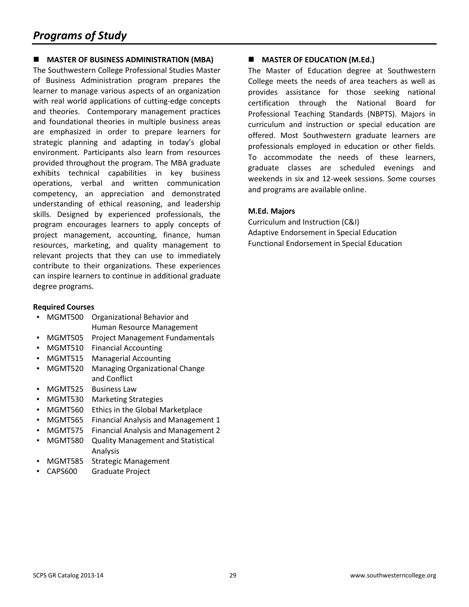#### **MASTER OF BUSINESS ADMINISTRATION (MBA)**

The Southwestern College Professional Studies Master of Business Administration program prepares the learner to manage various aspects of an organization with real world applications of cutting-edge concepts and theories. Contemporary management practices and foundational theories in multiple business areas are emphasized in order to prepare learners for strategic planning and adapting in today's global environment. Participants also learn from resources provided throughout the program. The MBA graduate exhibits technical capabilities in key business operations, verbal and written communication competency, an appreciation and demonstrated understanding of ethical reasoning, and leadership skills. Designed by experienced professionals, the program encourages learners to apply concepts of project management, accounting, finance, human resources, marketing, and quality management to relevant projects that they can use to immediately contribute to their organizations. These experiences can inspire learners to continue in additional graduate degree programs.

#### **Required Courses**

- MGMT500 Organizational Behavior and Human Resource Management
- MGMT505 Project Management Fundamentals
- MGMT510 Financial Accounting
- MGMT515 Managerial Accounting
- **MGMT520** Managing Organizational Change and Conflict
- MGMT525 Business Law
- MGMT530 Marketing Strategies
- MGMT560 Ethics in the Global Marketplace
- MGMT565 Financial Analysis and Management 1
- MGMT575 Financial Analysis and Management 2
- MGMT580 Quality Management and Statistical Analysis
- MGMT585 Strategic Management
- CAPS600 Graduate Project

#### **MASTER OF EDUCATION (M.Ed.)**

The Master of Education degree at Southwestern College meets the needs of area teachers as well as provides assistance for those seeking national certification through the National Board for Professional Teaching Standards (NBPTS). Majors in curriculum and instruction or special education are offered. Most Southwestern graduate learners are professionals employed in education or other fields. To accommodate the needs of these learners, graduate classes are scheduled evenings and weekends in six and 12-week sessions. Some courses and programs are available online.

#### **M.Ed. Majors**

Curriculum and Instruction (C&I) Adaptive Endorsement in Special Education Functional Endorsement in Special Education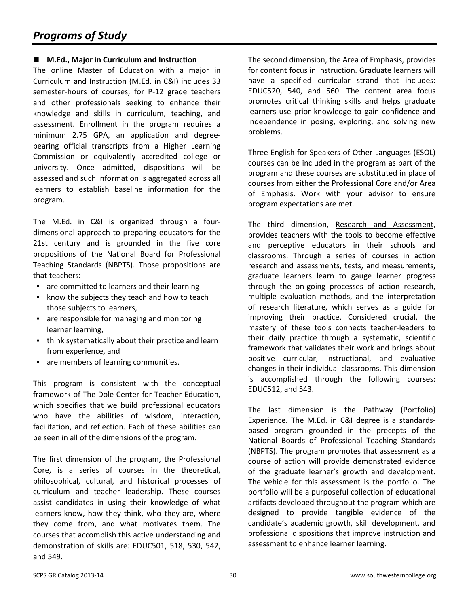#### **M.Ed., Major in Curriculum and Instruction**

The online Master of Education with a major in Curriculum and Instruction (M.Ed. in C&I) includes 33 semester-hours of courses, for P-12 grade teachers and other professionals seeking to enhance their knowledge and skills in curriculum, teaching, and assessment. Enrollment in the program requires a minimum 2.75 GPA, an application and degreebearing official transcripts from a Higher Learning Commission or equivalently accredited college or university. Once admitted, dispositions will be assessed and such information is aggregated across all learners to establish baseline information for the program.

The M.Ed. in C&I is organized through a fourdimensional approach to preparing educators for the 21st century and is grounded in the five core propositions of the National Board for Professional Teaching Standards (NBPTS). Those propositions are that teachers:

- are committed to learners and their learning
- know the subjects they teach and how to teach those subjects to learners,
- are responsible for managing and monitoring learner learning,
- think systematically about their practice and learn from experience, and
- are members of learning communities.

This program is consistent with the conceptual framework of The Dole Center for Teacher Education, which specifies that we build professional educators who have the abilities of wisdom, interaction, facilitation, and reflection. Each of these abilities can be seen in all of the dimensions of the program.

The first dimension of the program, the Professional Core, is a series of courses in the theoretical, philosophical, cultural, and historical processes of curriculum and teacher leadership. These courses assist candidates in using their knowledge of what learners know, how they think, who they are, where they come from, and what motivates them. The courses that accomplish this active understanding and demonstration of skills are: EDUC501, 518, 530, 542, and 549.

The second dimension, the Area of Emphasis, provides for content focus in instruction. Graduate learners will have a specified curricular strand that includes: EDUC520, 540, and 560. The content area focus promotes critical thinking skills and helps graduate learners use prior knowledge to gain confidence and independence in posing, exploring, and solving new problems.

Three English for Speakers of Other Languages (ESOL) courses can be included in the program as part of the program and these courses are substituted in place of courses from either the Professional Core and/or Area of Emphasis. Work with your advisor to ensure program expectations are met.

The third dimension, Research and Assessment, provides teachers with the tools to become effective and perceptive educators in their schools and classrooms. Through a series of courses in action research and assessments, tests, and measurements, graduate learners learn to gauge learner progress through the on-going processes of action research, multiple evaluation methods, and the interpretation of research literature, which serves as a guide for improving their practice. Considered crucial, the mastery of these tools connects teacher-leaders to their daily practice through a systematic, scientific framework that validates their work and brings about positive curricular, instructional, and evaluative changes in their individual classrooms. This dimension is accomplished through the following courses: EDUC512, and 543.

The last dimension is the Pathway (Portfolio) Experience. The M.Ed. in C&I degree is a standardsbased program grounded in the precepts of the National Boards of Professional Teaching Standards (NBPTS). The program promotes that assessment as a course of action will provide demonstrated evidence of the graduate learner's growth and development. The vehicle for this assessment is the portfolio. The portfolio will be a purposeful collection of educational artifacts developed throughout the program which are designed to provide tangible evidence of the candidate's academic growth, skill development, and professional dispositions that improve instruction and assessment to enhance learner learning.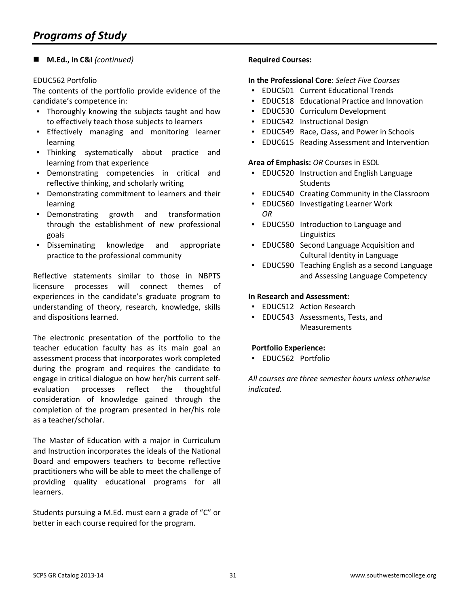#### **M.Ed., in C&I** *(continued)*

#### EDUC562 Portfolio

The contents of the portfolio provide evidence of the candidate's competence in:

- Thoroughly knowing the subjects taught and how to effectively teach those subjects to learners
- Effectively managing and monitoring learner learning
- Thinking systematically about practice and learning from that experience
- Demonstrating competencies in critical and reflective thinking, and scholarly writing
- Demonstrating commitment to learners and their learning
- Demonstrating growth and transformation through the establishment of new professional goals
- Disseminating knowledge and appropriate practice to the professional community

Reflective statements similar to those in NBPTS licensure processes will connect themes of experiences in the candidate's graduate program to understanding of theory, research, knowledge, skills and dispositions learned.

The electronic presentation of the portfolio to the teacher education faculty has as its main goal an assessment process that incorporates work completed during the program and requires the candidate to engage in critical dialogue on how her/his current selfevaluation processes reflect the thoughtful consideration of knowledge gained through the completion of the program presented in her/his role as a teacher/scholar.

The Master of Education with a major in Curriculum and Instruction incorporates the ideals of the National Board and empowers teachers to become reflective practitioners who will be able to meet the challenge of providing quality educational programs for all learners.

Students pursuing a M.Ed. must earn a grade of "C" or better in each course required for the program.

#### **Required Courses:**

#### **In the Professional Core**: *Select Five Courses*

- EDUC501 Current Educational Trends
- EDUC518 Educational Practice and Innovation
- EDUC530 Curriculum Development
- EDUC542 Instructional Design
- EDUC549 Race, Class, and Power in Schools
- EDUC615 Reading Assessment and Intervention

#### **Area of Emphasis:** *OR* Courses in ESOL

- EDUC520 Instruction and English Language **Students**
- **EDUC540 Creating Community in the Classroom**
- EDUC560 Investigating Learner Work *OR*
- EDUC550 Introduction to Language and **Linguistics**
- EDUC580 Second Language Acquisition and Cultural Identity in Language
- EDUC590 Teaching English as a second Language and Assessing Language Competency

#### **In Research and Assessment:**

- **EDUC512 Action Research**
- EDUC543 Assessments, Tests, and Measurements

#### **Portfolio Experience:**

▪ EDUC562 Portfolio

*All courses are three semester hours unless otherwise indicated.*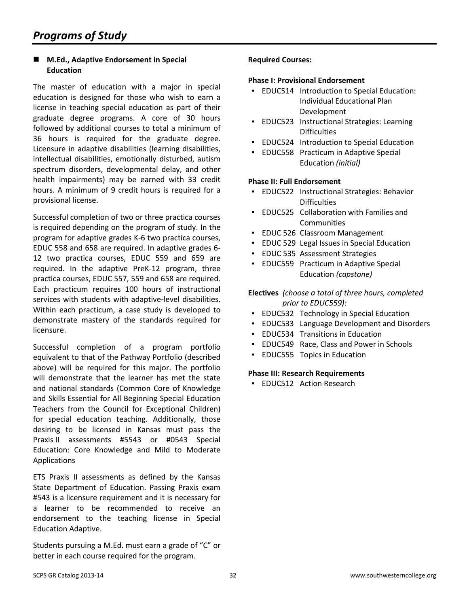#### **M.Ed., Adaptive Endorsement in Special Education**

The master of education with a major in special education is designed for those who wish to earn a license in teaching special education as part of their graduate degree programs. A core of 30 hours followed by additional courses to total a minimum of 36 hours is required for the graduate degree. Licensure in adaptive disabilities (learning disabilities, intellectual disabilities, emotionally disturbed, autism spectrum disorders, developmental delay, and other health impairments) may be earned with 33 credit hours. A minimum of 9 credit hours is required for a provisional license.

Successful completion of two or three practica courses is required depending on the program of study. In the program for adaptive grades K-6 two practica courses, EDUC 558 and 658 are required. In adaptive grades 6- 12 two practica courses, EDUC 559 and 659 are required. In the adaptive PreK-12 program, three practica courses, EDUC 557, 559 and 658 are required. Each practicum requires 100 hours of instructional services with students with adaptive-level disabilities. Within each practicum, a case study is developed to demonstrate mastery of the standards required for licensure.

Successful completion of a program portfolio equivalent to that of the Pathway Portfolio (described above) will be required for this major. The portfolio will demonstrate that the learner has met the state and national standards (Common Core of Knowledge and Skills Essential for All Beginning Special Education Teachers from the Council for Exceptional Children) for special education teaching. Additionally, those desiring to be licensed in Kansas must pass the Praxis II assessments #5543 or #0543 Special Education: Core Knowledge and Mild to Moderate Applications

ETS Praxis II assessments as defined by the Kansas State Department of Education. Passing Praxis exam #543 is a licensure requirement and it is necessary for a learner to be recommended to receive an endorsement to the teaching license in Special Education Adaptive.

Students pursuing a M.Ed. must earn a grade of "C" or better in each course required for the program.

#### **Required Courses:**

#### **Phase I: Provisional Endorsement**

- EDUC514 Introduction to Special Education: Individual Educational Plan Development
- EDUC523 Instructional Strategies: Learning **Difficulties**
- **EDUC524 Introduction to Special Education**
- **EDUC558 Practicum in Adaptive Special** Education *(initial)*

#### **Phase II: Full Endorsement**

- EDUC522 Instructional Strategies: Behavior **Difficulties**
- EDUC525 Collaboration with Families and **Communities**
- EDUC 526 Classroom Management
- **EDUC 529 Legal Issues in Special Education**
- EDUC 535 Assessment Strategies
- EDUC559 Practicum in Adaptive Special Education *(capstone)*

#### **Electives** *(choose a total of three hours, completed prior to EDUC559):*

- **EDUC532 Technology in Special Education**
- EDUC533 Language Development and Disorders
- EDUC534 Transitions in Education
- EDUC549 Race, Class and Power in Schools
- **EDUC555 Topics in Education**

#### **Phase III: Research Requirements**

**• EDUC512 Action Research**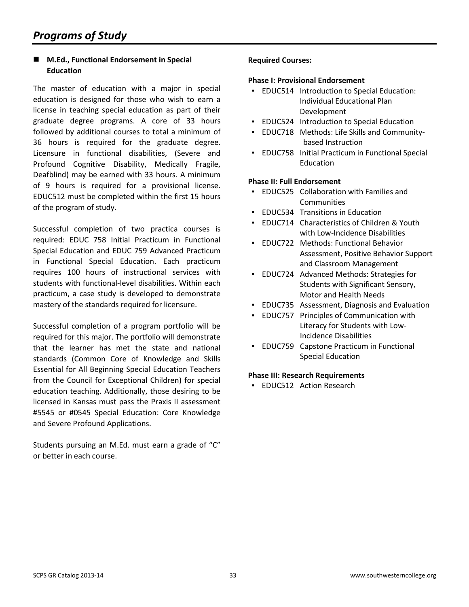#### **M.Ed., Functional Endorsement in Special Education**

The master of education with a major in special education is designed for those who wish to earn a license in teaching special education as part of their graduate degree programs. A core of 33 hours followed by additional courses to total a minimum of 36 hours is required for the graduate degree. Licensure in functional disabilities, (Severe and Profound Cognitive Disability, Medically Fragile, Deafblind) may be earned with 33 hours. A minimum of 9 hours is required for a provisional license. EDUC512 must be completed within the first 15 hours of the program of study.

Successful completion of two practica courses is required: EDUC 758 Initial Practicum in Functional Special Education and EDUC 759 Advanced Practicum in Functional Special Education. Each practicum requires 100 hours of instructional services with students with functional-level disabilities. Within each practicum, a case study is developed to demonstrate mastery of the standards required for licensure.

Successful completion of a program portfolio will be required for this major. The portfolio will demonstrate that the learner has met the state and national standards (Common Core of Knowledge and Skills Essential for All Beginning Special Education Teachers from the Council for Exceptional Children) for special education teaching. Additionally, those desiring to be licensed in Kansas must pass the Praxis II assessment #5545 or #0545 Special Education: Core Knowledge and Severe Profound Applications.

Students pursuing an M.Ed. must earn a grade of "C" or better in each course.

#### **Required Courses:**

#### **Phase I: Provisional Endorsement**

- EDUC514 Introduction to Special Education: Individual Educational Plan Development
- **EDUC524 Introduction to Special Education**
- EDUC718 Methods: Life Skills and Communitybased Instruction
- EDUC758 Initial Practicum in Functional Special **Education**

#### **Phase II: Full Endorsement**

- EDUC525 Collaboration with Families and Communities
- **EDUC534 Transitions in Education**
- EDUC714 Characteristics of Children & Youth with Low-Incidence Disabilities
- EDUC722 Methods: Functional Behavior Assessment, Positive Behavior Support and Classroom Management
- EDUC724 Advanced Methods: Strategies for Students with Significant Sensory, Motor and Health Needs
- EDUC735 Assessment, Diagnosis and Evaluation
- EDUC757 Principles of Communication with Literacy for Students with Low-Incidence Disabilities
- **EDUC759 Capstone Practicum in Functional** Special Education

#### **Phase III: Research Requirements**

**• EDUC512 Action Research**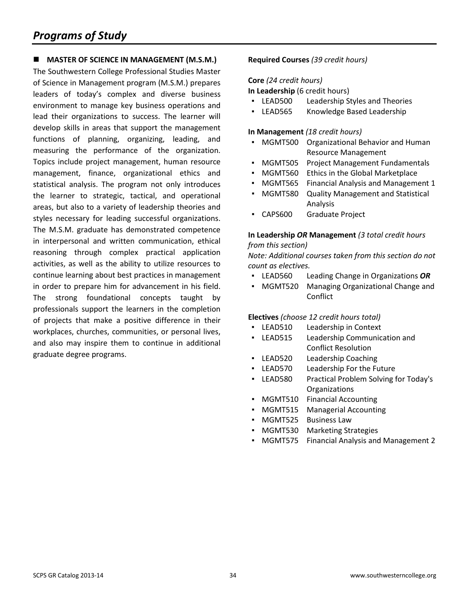# *Programs of Study*

#### **MASTER OF SCIENCE IN MANAGEMENT (M.S.M.)**

The Southwestern College Professional Studies Master of Science in Management program (M.S.M.) prepares leaders of today's complex and diverse business environment to manage key business operations and lead their organizations to success. The learner will develop skills in areas that support the management functions of planning, organizing, leading, and measuring the performance of the organization. Topics include project management, human resource management, finance, organizational ethics and statistical analysis. The program not only introduces the learner to strategic, tactical, and operational areas, but also to a variety of leadership theories and styles necessary for leading successful organizations. The M.S.M. graduate has demonstrated competence in interpersonal and written communication, ethical reasoning through complex practical application activities, as well as the ability to utilize resources to continue learning about best practices in management in order to prepare him for advancement in his field. The strong foundational concepts taught by professionals support the learners in the completion of projects that make a positive difference in their workplaces, churches, communities, or personal lives, and also may inspire them to continue in additional graduate degree programs.

#### **Required Courses** *(39 credit hours)*

#### **Core** *(24 credit hours)*

**In Leadership** (6 credit hours)

- LEAD500 Leadership Styles and Theories
- LEAD565 Knowledge Based Leadership

#### **In Management** *(18 credit hours)*

- MGMT500 Organizational Behavior and Human Resource Management
- MGMT505 Project Management Fundamentals
- MGMT560 Ethics in the Global Marketplace
- MGMT565 Financial Analysis and Management 1
- MGMT580 Quality Management and Statistical Analysis
- CAPS600 Graduate Project

#### **In Leadership** *OR* **Management** *(3 total credit hours from this section)*

*Note: Additional courses taken from this section do not count as electives.*

- LEAD560 Leading Change in Organizations *OR*
- MGMT520 Managing Organizational Change and **Conflict**

#### **Electives** *(choose 12 credit hours total)*

- LEAD510 Leadership in Context
- LEAD515 Leadership Communication and Conflict Resolution
- LEAD520 Leadership Coaching
- LEAD570 Leadership For the Future
- LEAD580 Practical Problem Solving for Today's **Organizations**
- MGMT510 Financial Accounting
- MGMT515 Managerial Accounting
- MGMT525 Business Law
- MGMT530 Marketing Strategies
- MGMT575 Financial Analysis and Management 2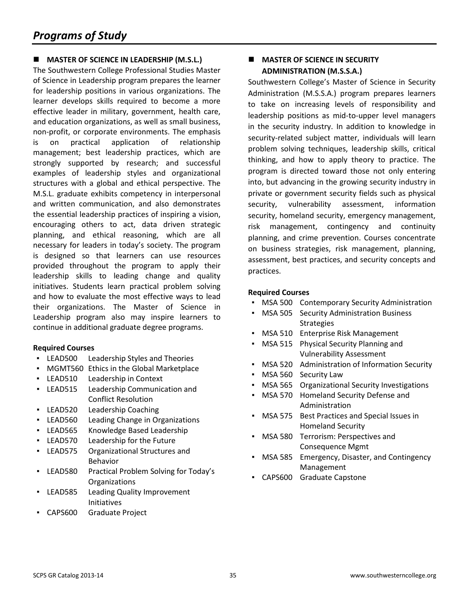#### **MASTER OF SCIENCE IN LEADERSHIP (M.S.L.)**

The Southwestern College Professional Studies Master of Science in Leadership program prepares the learner for leadership positions in various organizations. The learner develops skills required to become a more effective leader in military, government, health care, and education organizations, as well as small business, non-profit, or corporate environments. The emphasis is on practical application of relationship management; best leadership practices, which are strongly supported by research; and successful examples of leadership styles and organizational structures with a global and ethical perspective. The M.S.L. graduate exhibits competency in interpersonal and written communication, and also demonstrates the essential leadership practices of inspiring a vision, encouraging others to act, data driven strategic planning, and ethical reasoning, which are all necessary for leaders in today's society. The program is designed so that learners can use resources provided throughout the program to apply their leadership skills to leading change and quality initiatives. Students learn practical problem solving and how to evaluate the most effective ways to lead their organizations. The Master of Science in Leadership program also may inspire learners to continue in additional graduate degree programs.

#### **Required Courses**

- LEAD500 Leadership Styles and Theories
- MGMT560 Ethics in the Global Marketplace
- LEAD510 Leadership in Context
- LEAD515 Leadership Communication and Conflict Resolution
- LEAD520 Leadership Coaching
- LEAD560 Leading Change in Organizations
- LEAD565 Knowledge Based Leadership
- LEAD570 Leadership for the Future
- LEAD575 Organizational Structures and Behavior
- LEAD580 Practical Problem Solving for Today's **Organizations**
- LEAD585 Leading Quality Improvement Initiatives
- CAPS600 Graduate Project

#### **MASTER OF SCIENCE IN SECURITY ADMINISTRATION (M.S.S.A.)**

Southwestern College's Master of Science in Security Administration (M.S.S.A.) program prepares learners to take on increasing levels of responsibility and leadership positions as mid-to-upper level managers in the security industry. In addition to knowledge in security-related subject matter, individuals will learn problem solving techniques, leadership skills, critical thinking, and how to apply theory to practice. The program is directed toward those not only entering into, but advancing in the growing security industry in private or government security fields such as physical security, vulnerability assessment, information security, homeland security, emergency management, risk management, contingency and continuity planning, and crime prevention. Courses concentrate on business strategies, risk management, planning, assessment, best practices, and security concepts and practices.

- **MSA 500 Contemporary Security Administration**
- **MSA 505 Security Administration Business Strategies**
- MSA 510 Enterprise Risk Management
- MSA 515 Physical Security Planning and Vulnerability Assessment
- MSA 520 Administration of Information Security
- MSA 560 Security Law
- **MSA 565** Organizational Security Investigations
- MSA 570 Homeland Security Defense and Administration
- MSA 575 Best Practices and Special Issues in Homeland Security
- MSA 580 Terrorism: Perspectives and Consequence Mgmt
- MSA 585 Emergency, Disaster, and Contingency Management
- CAPS600 Graduate Capstone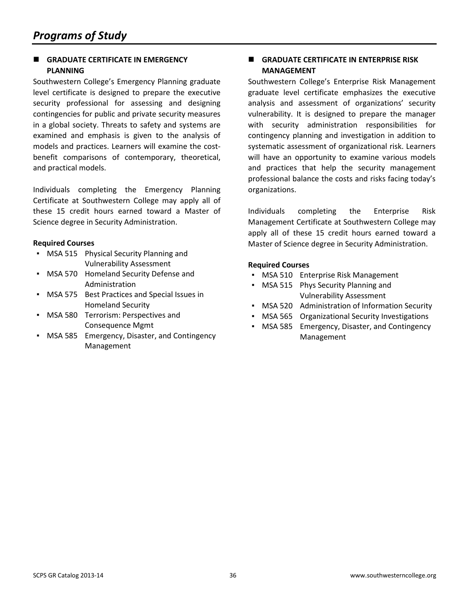#### **GRADUATE CERTIFICATE IN EMERGENCY PLANNING**

Southwestern College's Emergency Planning graduate level certificate is designed to prepare the executive security professional for assessing and designing contingencies for public and private security measures in a global society. Threats to safety and systems are examined and emphasis is given to the analysis of models and practices. Learners will examine the costbenefit comparisons of contemporary, theoretical, and practical models.

Individuals completing the Emergency Planning Certificate at Southwestern College may apply all of these 15 credit hours earned toward a Master of Science degree in Security Administration.

#### **Required Courses**

- MSA 515 Physical Security Planning and Vulnerability Assessment
- MSA 570 Homeland Security Defense and Administration
- MSA 575 Best Practices and Special Issues in Homeland Security
- MSA 580 Terrorism: Perspectives and Consequence Mgmt
- MSA 585 Emergency, Disaster, and Contingency Management

#### **GRADUATE CERTIFICATE IN ENTERPRISE RISK MANAGEMENT**

Southwestern College's Enterprise Risk Management graduate level certificate emphasizes the executive analysis and assessment of organizations' security vulnerability. It is designed to prepare the manager with security administration responsibilities for contingency planning and investigation in addition to systematic assessment of organizational risk. Learners will have an opportunity to examine various models and practices that help the security management professional balance the costs and risks facing today's organizations.

Individuals completing the Enterprise Risk Management Certificate at Southwestern College may apply all of these 15 credit hours earned toward a Master of Science degree in Security Administration.

- MSA 510 Enterprise Risk Management
- MSA 515 Phys Security Planning and Vulnerability Assessment
- MSA 520 Administration of Information Security
- MSA 565 Organizational Security Investigations
- MSA 585 Emergency, Disaster, and Contingency Management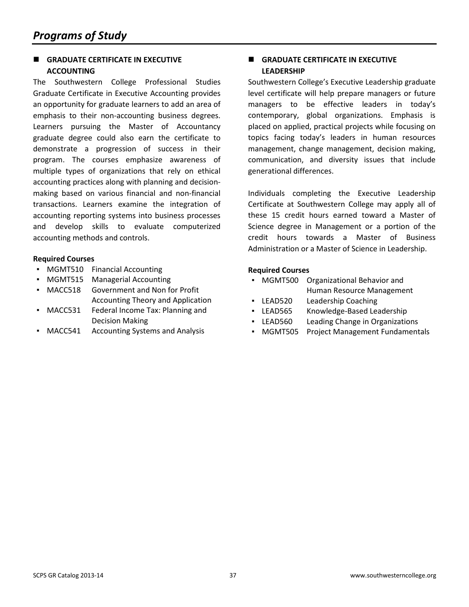#### **GRADUATE CERTIFICATE IN EXECUTIVE ACCOUNTING**

The Southwestern College Professional Studies Graduate Certificate in Executive Accounting provides an opportunity for graduate learners to add an area of emphasis to their non-accounting business degrees. Learners pursuing the Master of Accountancy graduate degree could also earn the certificate to demonstrate a progression of success in their program. The courses emphasize awareness of multiple types of organizations that rely on ethical accounting practices along with planning and decisionmaking based on various financial and non-financial transactions. Learners examine the integration of accounting reporting systems into business processes and develop skills to evaluate computerized accounting methods and controls.

#### **Required Courses**

- MGMT510 Financial Accounting
- MGMT515 Managerial Accounting
- MACC518 Government and Non for Profit Accounting Theory and Application
- MACC531 Federal Income Tax: Planning and Decision Making
- MACC541 Accounting Systems and Analysis

#### **GRADUATE CERTIFICATE IN EXECUTIVE LEADERSHIP**

Southwestern College's Executive Leadership graduate level certificate will help prepare managers or future managers to be effective leaders in today's contemporary, global organizations. Emphasis is placed on applied, practical projects while focusing on topics facing today's leaders in human resources management, change management, decision making, communication, and diversity issues that include generational differences.

Individuals completing the Executive Leadership Certificate at Southwestern College may apply all of these 15 credit hours earned toward a Master of Science degree in Management or a portion of the credit hours towards a Master of Business Administration or a Master of Science in Leadership.

- MGMT500 Organizational Behavior and Human Resource Management
- LEAD520 Leadership Coaching
- LEAD565 Knowledge-Based Leadership
- LEAD560 Leading Change in Organizations
- MGMT505 Project Management Fundamentals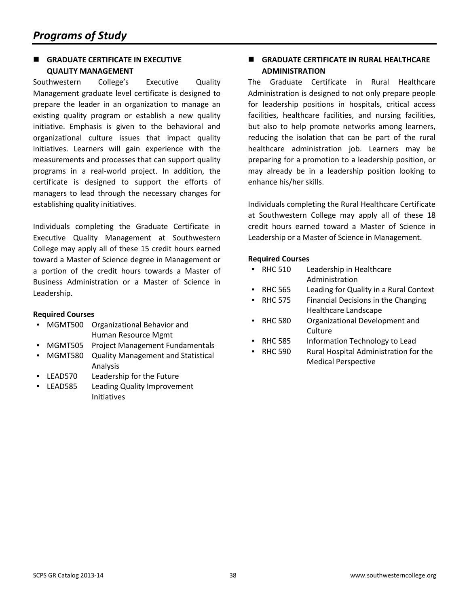#### **GRADUATE CERTIFICATE IN EXECUTIVE QUALITY MANAGEMENT**

Southwestern College's Executive Quality Management graduate level certificate is designed to prepare the leader in an organization to manage an existing quality program or establish a new quality initiative. Emphasis is given to the behavioral and organizational culture issues that impact quality initiatives. Learners will gain experience with the measurements and processes that can support quality programs in a real-world project. In addition, the certificate is designed to support the efforts of managers to lead through the necessary changes for establishing quality initiatives.

Individuals completing the Graduate Certificate in Executive Quality Management at Southwestern College may apply all of these 15 credit hours earned toward a Master of Science degree in Management or a portion of the credit hours towards a Master of Business Administration or a Master of Science in Leadership.

#### **Required Courses**

- MGMT500 Organizational Behavior and Human Resource Mgmt
- MGMT505 Project Management Fundamentals
- MGMT580 Quality Management and Statistical Analysis
- LEAD570 Leadership for the Future
- LEAD585 Leading Quality Improvement Initiatives

#### **GRADUATE CERTIFICATE IN RURAL HEALTHCARE ADMINISTRATION**

The Graduate Certificate in Rural Healthcare Administration is designed to not only prepare people for leadership positions in hospitals, critical access facilities, healthcare facilities, and nursing facilities, but also to help promote networks among learners, reducing the isolation that can be part of the rural healthcare administration job. Learners may be preparing for a promotion to a leadership position, or may already be in a leadership position looking to enhance his/her skills.

Individuals completing the Rural Healthcare Certificate at Southwestern College may apply all of these 18 credit hours earned toward a Master of Science in Leadership or a Master of Science in Management.

| RHC 510 | Leadership in Healthcare |
|---------|--------------------------|
|         | Administration           |

- RHC 565 Leading for Quality in a Rural Context
- RHC 575 Financial Decisions in the Changing Healthcare Landscape
- RHC 580 Organizational Development and **Culture**
- RHC 585 Information Technology to Lead
- RHC 590 Rural Hospital Administration for the Medical Perspective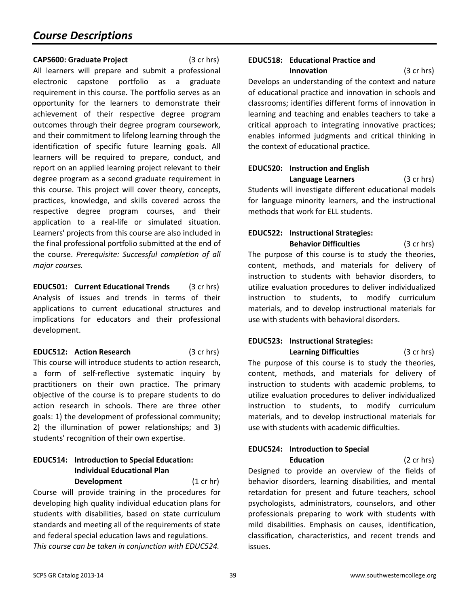#### **CAPS600: Graduate Project** (3 cr hrs)

All learners will prepare and submit a professional electronic capstone portfolio as a graduate requirement in this course. The portfolio serves as an opportunity for the learners to demonstrate their achievement of their respective degree program outcomes through their degree program coursework, and their commitment to lifelong learning through the identification of specific future learning goals. All learners will be required to prepare, conduct, and report on an applied learning project relevant to their degree program as a second graduate requirement in this course. This project will cover theory, concepts, practices, knowledge, and skills covered across the respective degree program courses, and their application to a real-life or simulated situation. Learners' projects from this course are also included in the final professional portfolio submitted at the end of the course. *Prerequisite: Successful completion of all major courses.*

**EDUC501: Current Educational Trends** (3 cr hrs) Analysis of issues and trends in terms of their applications to current educational structures and implications for educators and their professional development.

**EDUC512: Action Research** (3 cr hrs) This course will introduce students to action research, a form of self-reflective systematic inquiry by practitioners on their own practice. The primary objective of the course is to prepare students to do action research in schools. There are three other goals: 1) the development of professional community; 2) the illumination of power relationships; and 3) students' recognition of their own expertise.

### **EDUC514: Introduction to Special Education: Individual Educational Plan**

**Development** (1 cr hr) Course will provide training in the procedures for developing high quality individual education plans for students with disabilities, based on state curriculum standards and meeting all of the requirements of state and federal special education laws and regulations. *This course can be taken in conjunction with EDUC524.*

# **EDUC518: Educational Practice and**

**Innovation** (3 cr hrs) Develops an understanding of the context and nature of educational practice and innovation in schools and classrooms; identifies different forms of innovation in learning and teaching and enables teachers to take a critical approach to integrating innovative practices; enables informed judgments and critical thinking in the context of educational practice.

### **EDUC520: Instruction and English Language Learners** (3 cr hrs)

Students will investigate different educational models for language minority learners, and the instructional methods that work for ELL students.

### **EDUC522: Instructional Strategies: Behavior Difficulties** (3 cr hrs)

The purpose of this course is to study the theories, content, methods, and materials for delivery of instruction to students with behavior disorders, to utilize evaluation procedures to deliver individualized instruction to students, to modify curriculum materials, and to develop instructional materials for use with students with behavioral disorders.

# **EDUC523: Instructional Strategies:**

**Learning Difficulties** (3 cr hrs) The purpose of this course is to study the theories, content, methods, and materials for delivery of instruction to students with academic problems, to utilize evaluation procedures to deliver individualized instruction to students, to modify curriculum materials, and to develop instructional materials for use with students with academic difficulties.

#### **EDUC524: Introduction to Special Education** (2 cr hrs)

Designed to provide an overview of the fields of behavior disorders, learning disabilities, and mental retardation for present and future teachers, school psychologists, administrators, counselors, and other professionals preparing to work with students with mild disabilities. Emphasis on causes, identification, classification, characteristics, and recent trends and issues.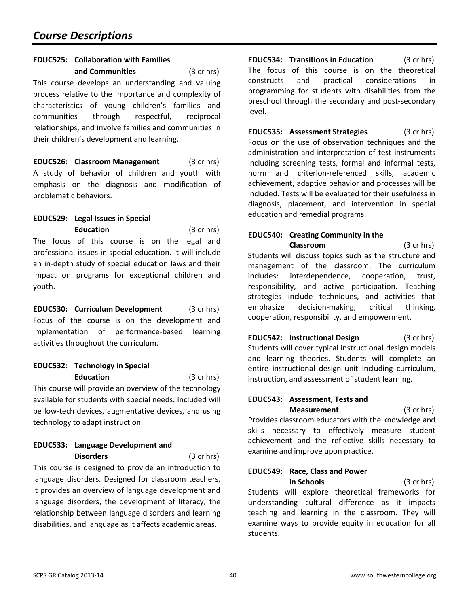#### **EDUC525: Collaboration with Families**

**and Communities** (3 cr hrs) This course develops an understanding and valuing process relative to the importance and complexity of characteristics of young children's families and communities through respectful, reciprocal relationships, and involve families and communities in their children's development and learning.

**EDUC526: Classroom Management** (3 cr hrs) A study of behavior of children and youth with emphasis on the diagnosis and modification of problematic behaviors.

#### **EDUC529: Legal Issues in Special Education** (3 cr hrs)

The focus of this course is on the legal and professional issues in special education. It will include an in-depth study of special education laws and their impact on programs for exceptional children and youth.

**EDUC530: Curriculum Development** (3 cr hrs) Focus of the course is on the development and implementation of performance-based learning activities throughout the curriculum.

#### **EDUC532: Technology in Special Education** (3 cr hrs)

This course will provide an overview of the technology available for students with special needs. Included will be low-tech devices, augmentative devices, and using technology to adapt instruction.

### **EDUC533: Language Development and Disorders** (3 cr hrs)

This course is designed to provide an introduction to language disorders. Designed for classroom teachers, it provides an overview of language development and language disorders, the development of literacy, the relationship between language disorders and learning disabilities, and language as it affects academic areas.

**EDUC534: Transitions in Education** (3 cr hrs) The focus of this course is on the theoretical constructs and practical considerations in programming for students with disabilities from the preschool through the secondary and post-secondary level.

**EDUC535: Assessment Strategies** (3 cr hrs) Focus on the use of observation techniques and the administration and interpretation of test instruments including screening tests, formal and informal tests, norm and criterion-referenced skills, academic achievement, adaptive behavior and processes will be included. Tests will be evaluated for their usefulness in diagnosis, placement, and intervention in special education and remedial programs.

#### **EDUC540: Creating Community in the Classroom** (3 cr hrs)

Students will discuss topics such as the structure and management of the classroom. The curriculum includes: interdependence, cooperation, trust, responsibility, and active participation. Teaching strategies include techniques, and activities that emphasize decision-making, critical thinking, cooperation, responsibility, and empowerment.

**EDUC542: Instructional Design** (3 cr hrs) Students will cover typical instructional design models and learning theories. Students will complete an entire instructional design unit including curriculum, instruction, and assessment of student learning.

#### **EDUC543: Assessment, Tests and Measurement** (3 cr hrs)

Provides classroom educators with the knowledge and skills necessary to effectively measure student achievement and the reflective skills necessary to examine and improve upon practice.

# **EDUC549: Race, Class and Power in Schools** (3 cr hrs) Students will explore theoretical frameworks for

understanding cultural difference as it impacts teaching and learning in the classroom. They will examine ways to provide equity in education for all students.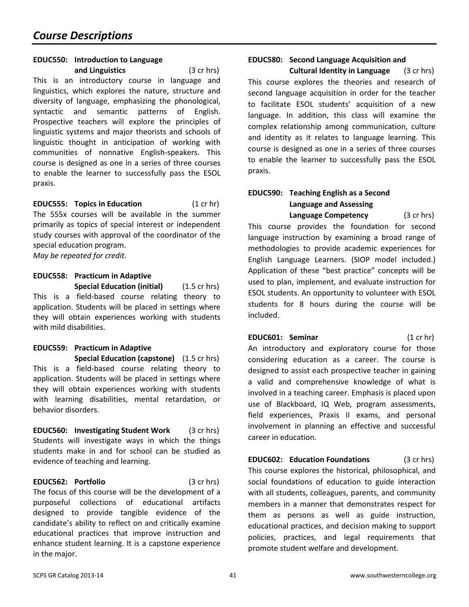#### **EDUC550: Introduction to Language and Linguistics** (3 cr hrs)

This is an introductory course in language and linguistics, which explores the nature, structure and diversity of language, emphasizing the phonological, syntactic and semantic patterns of English. Prospective teachers will explore the principles of linguistic systems and major theorists and schools of linguistic thought in anticipation of working with communities of nonnative English-speakers. This course is designed as one in a series of three courses to enable the learner to successfully pass the ESOL praxis.

**EDUC555: Topics in Education** (1 cr hr) The 555x courses will be available in the summer primarily as topics of special interest or independent study courses with approval of the coordinator of the special education program.

*May be repeated for credit.*

#### **EDUC558: Practicum in Adaptive Special Education (initial)** (1.5 cr hrs)

This is a field-based course relating theory to application. Students will be placed in settings where they will obtain experiences working with students with mild disabilities.

### **EDUC559: Practicum in Adaptive**

**Special Education (capstone)** (1.5 cr hrs) This is a field-based course relating theory to application. Students will be placed in settings where they will obtain experiences working with students with learning disabilities, mental retardation, or behavior disorders.

**EDUC560: Investigating Student Work** (3 cr hrs) Students will investigate ways in which the things students make in and for school can be studied as evidence of teaching and learning.

**EDUC562: Portfolio** (3 cr hrs) The focus of this course will be the development of a purposeful collections of educational artifacts designed to provide tangible evidence of the candidate's ability to reflect on and critically examine educational practices that improve instruction and enhance student learning. It is a capstone experience in the major.

#### **EDUC580: Second Language Acquisition and**

**Cultural Identity in Language** (3 cr hrs) This course explores the theories and research of second language acquisition in order for the teacher to facilitate ESOL students' acquisition of a new language. In addition, this class will examine the complex relationship among communication, culture and identity as it relates to language learning. This course is designed as one in a series of three courses to enable the learner to successfully pass the ESOL praxis.

### **EDUC590: Teaching English as a Second Language and Assessing**

**Language Competency** (3 cr hrs) This course provides the foundation for second language instruction by examining a broad range of methodologies to provide academic experiences for English Language Learners. (SIOP model included.) Application of these "best practice" concepts will be used to plan, implement, and evaluate instruction for ESOL students. An opportunity to volunteer with ESOL students for 8 hours during the course will be included.

**EDUC601: Seminar** (1 cr hr) An introductory and exploratory course for those considering education as a career. The course is designed to assist each prospective teacher in gaining a valid and comprehensive knowledge of what is involved in a teaching career. Emphasis is placed upon use of Blackboard, IQ Web, program assessments, field experiences, Praxis II exams, and personal involvement in planning an effective and successful career in education.

**EDUC602: Education Foundations** (3 cr hrs) This course explores the historical, philosophical, and social foundations of education to guide interaction with all students, colleagues, parents, and community members in a manner that demonstrates respect for them as persons as well as guide instruction, educational practices, and decision making to support policies, practices, and legal requirements that promote student welfare and development.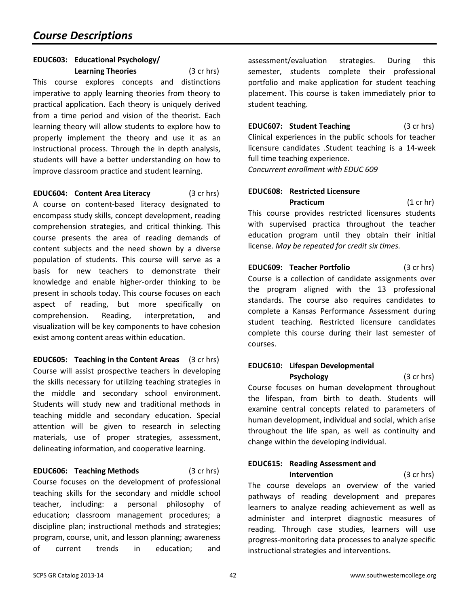#### **EDUC603: Educational Psychology/ Learning Theories** (3 cr hrs)

This course explores concepts and distinctions imperative to apply learning theories from theory to practical application. Each theory is uniquely derived from a time period and vision of the theorist. Each learning theory will allow students to explore how to properly implement the theory and use it as an instructional process. Through the in depth analysis, students will have a better understanding on how to improve classroom practice and student learning.

**EDUC604: Content Area Literacy** (3 cr hrs) A course on content-based literacy designated to encompass study skills, concept development, reading comprehension strategies, and critical thinking. This course presents the area of reading demands of content subjects and the need shown by a diverse population of students. This course will serve as a basis for new teachers to demonstrate their knowledge and enable higher-order thinking to be present in schools today. This course focuses on each aspect of reading, but more specifically on comprehension. Reading, interpretation, and visualization will be key components to have cohesion exist among content areas within education.

**EDUC605: Teaching in the Content Areas** (3 cr hrs) Course will assist prospective teachers in developing the skills necessary for utilizing teaching strategies in the middle and secondary school environment. Students will study new and traditional methods in teaching middle and secondary education. Special attention will be given to research in selecting materials, use of proper strategies, assessment, delineating information, and cooperative learning.

**EDUC606: Teaching Methods** (3 cr hrs) Course focuses on the development of professional teaching skills for the secondary and middle school teacher, including: a personal philosophy of education; classroom management procedures; a discipline plan; instructional methods and strategies; program, course, unit, and lesson planning; awareness of current trends in education; and

assessment/evaluation strategies. During this semester, students complete their professional portfolio and make application for student teaching placement. This course is taken immediately prior to student teaching.

**EDUC607: Student Teaching** (3 cr hrs) Clinical experiences in the public schools for teacher licensure candidates .Student teaching is a 14-week full time teaching experience. *Concurrent enrollment with EDUC 609*

### **EDUC608: Restricted Licensure Practicum** (1 cr hr) This course provides restricted licensures students with supervised practica throughout the teacher

education program until they obtain their initial

license. *May be repeated for credit six times.*

**EDUC609: Teacher Portfolio** (3 cr hrs) Course is a collection of candidate assignments over the program aligned with the 13 professional standards. The course also requires candidates to complete a Kansas Performance Assessment during student teaching. Restricted licensure candidates complete this course during their last semester of courses.

# **EDUC610: Lifespan Developmental**

**Psychology** (3 cr hrs) Course focuses on human development throughout the lifespan, from birth to death. Students will examine central concepts related to parameters of human development, individual and social, which arise throughout the life span, as well as continuity and change within the developing individual.

# **EDUC615: Reading Assessment and**

**Intervention** (3 cr hrs) The course develops an overview of the varied pathways of reading development and prepares learners to analyze reading achievement as well as administer and interpret diagnostic measures of reading. Through case studies, learners will use progress-monitoring data processes to analyze specific instructional strategies and interventions.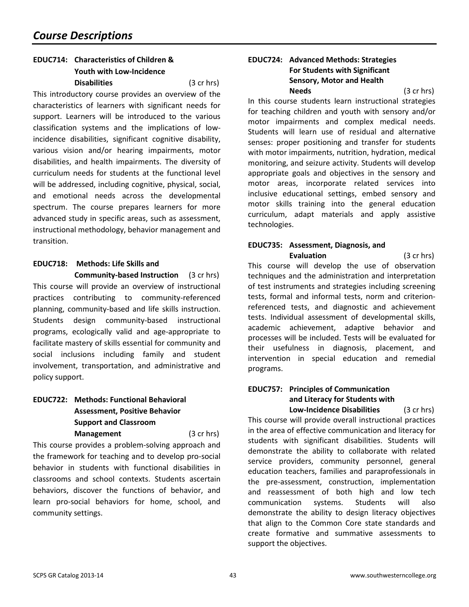#### **EDUC714: Characteristics of Children & Youth with Low-Incidence Disabilities** (3 cr hrs)

This introductory course provides an overview of the characteristics of learners with significant needs for support. Learners will be introduced to the various classification systems and the implications of lowincidence disabilities, significant cognitive disability, various vision and/or hearing impairments, motor disabilities, and health impairments. The diversity of curriculum needs for students at the functional level will be addressed, including cognitive, physical, social, and emotional needs across the developmental spectrum. The course prepares learners for more advanced study in specific areas, such as assessment, instructional methodology, behavior management and transition.

### **EDUC718: Methods: Life Skills and**

**Community-based Instruction** (3 cr hrs) This course will provide an overview of instructional practices contributing to community-referenced planning, community-based and life skills instruction. Students design community-based instructional programs, ecologically valid and age-appropriate to facilitate mastery of skills essential for community and social inclusions including family and student involvement, transportation, and administrative and policy support.

### **EDUC722: Methods: Functional Behavioral Assessment, Positive Behavior Support and Classroom**

**Management** (3 cr hrs) This course provides a problem-solving approach and the framework for teaching and to develop pro-social behavior in students with functional disabilities in classrooms and school contexts. Students ascertain behaviors, discover the functions of behavior, and learn pro-social behaviors for home, school, and community settings.

#### **EDUC724: Advanced Methods: Strategies For Students with Significant Sensory, Motor and Health Needs** (3 cr hrs)

In this course students learn instructional strategies for teaching children and youth with sensory and/or motor impairments and complex medical needs. Students will learn use of residual and alternative senses: proper positioning and transfer for students with motor impairments, nutrition, hydration, medical monitoring, and seizure activity. Students will develop appropriate goals and objectives in the sensory and motor areas, incorporate related services into inclusive educational settings, embed sensory and motor skills training into the general education curriculum, adapt materials and apply assistive technologies.

# **EDUC735: Assessment, Diagnosis, and**

**Evaluation** (3 cr hrs) This course will develop the use of observation techniques and the administration and interpretation of test instruments and strategies including screening tests, formal and informal tests, norm and criterionreferenced tests, and diagnostic and achievement tests. Individual assessment of developmental skills, academic achievement, adaptive behavior and processes will be included. Tests will be evaluated for their usefulness in diagnosis, placement, and intervention in special education and remedial programs.

### **EDUC757: Principles of Communication and Literacy for Students with**

**Low-Incidence Disabilities** (3 cr hrs) This course will provide overall instructional practices in the area of effective communication and literacy for students with significant disabilities. Students will demonstrate the ability to collaborate with related service providers, community personnel, general education teachers, families and paraprofessionals in the pre-assessment, construction, implementation and reassessment of both high and low tech communication systems. Students will also demonstrate the ability to design literacy objectives that align to the Common Core state standards and create formative and summative assessments to support the objectives.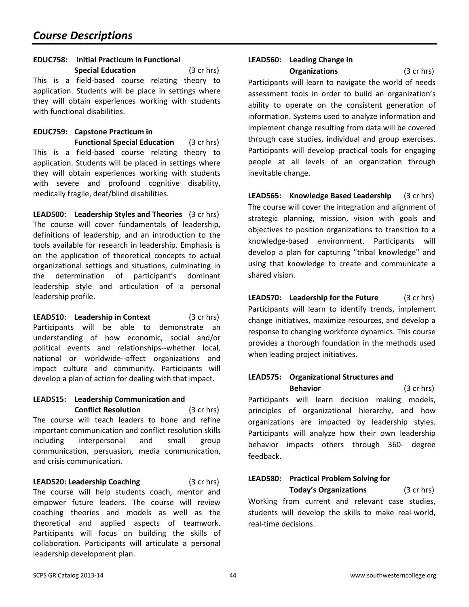#### **EDUC758: Initial Practicum in Functional**

**Special Education** (3 cr hrs) This is a field-based course relating theory to application. Students will be place in settings where they will obtain experiences working with students with functional disabilities.

# **EDUC759: Capstone Practicum in**

**Functional Special Education** (3 cr hrs) This is a field-based course relating theory to application. Students will be placed in settings where they will obtain experiences working with students with severe and profound cognitive disability, medically fragile, deaf/blind disabilities.

**LEAD500: Leadership Styles and Theories** (3 cr hrs) The course will cover fundamentals of leadership, definitions of leadership, and an introduction to the tools available for research in leadership. Emphasis is on the application of theoretical concepts to actual organizational settings and situations, culminating in the determination of participant's dominant leadership style and articulation of a personal leadership profile.

**LEAD510: Leadership in Context** (3 cr hrs) Participants will be able to demonstrate an understanding of how economic, social and/or political events and relationships--whether local, national or worldwide--affect organizations and impact culture and community. Participants will develop a plan of action for dealing with that impact.

#### **LEAD515: Leadership Communication and Conflict Resolution** (3 cr hrs)

The course will teach leaders to hone and refine important communication and conflict resolution skills including interpersonal and small group communication, persuasion, media communication, and crisis communication.

**LEAD520: Leadership Coaching** (3 cr hrs) The course will help students coach, mentor and empower future leaders. The course will review coaching theories and models as well as the theoretical and applied aspects of teamwork. Participants will focus on building the skills of collaboration. Participants will articulate a personal leadership development plan.

#### **LEAD560: Leading Change in Organizations** (3 cr hrs)

Participants will learn to navigate the world of needs assessment tools in order to build an organization's ability to operate on the consistent generation of information. Systems used to analyze information and implement change resulting from data will be covered through case studies, individual and group exercises. Participants will develop practical tools for engaging people at all levels of an organization through inevitable change.

**LEAD565: Knowledge Based Leadership** (3 cr hrs) The course will cover the integration and alignment of strategic planning, mission, vision with goals and objectives to position organizations to transition to a knowledge-based environment. Participants will develop a plan for capturing "tribal knowledge" and using that knowledge to create and communicate a shared vision.

**LEAD570: Leadership for the Future** (3 cr hrs) Participants will learn to identify trends, implement change initiatives, maximize resources, and develop a response to changing workforce dynamics. This course provides a thorough foundation in the methods used when leading project initiatives.

#### **LEAD575: Organizational Structures and Behavior** (3 cr hrs)

Participants will learn decision making models, principles of organizational hierarchy, and how organizations are impacted by leadership styles. Participants will analyze how their own leadership behavior impacts others through 360- degree feedback.

#### **LEAD580: Practical Problem Solving for Today's Organizations** (3 cr hrs)

Working from current and relevant case studies, students will develop the skills to make real-world, real-time decisions.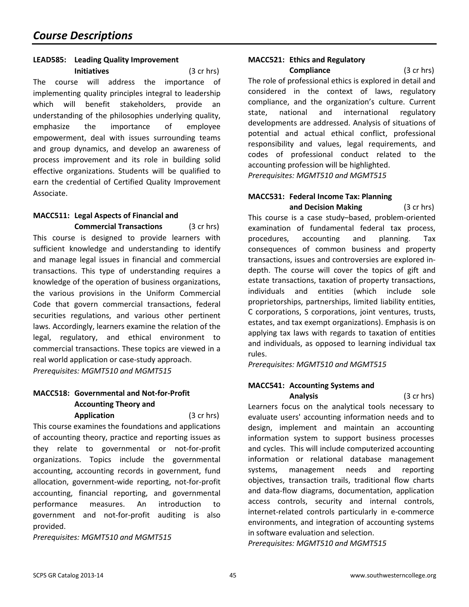### **LEAD585: Leading Quality Improvement**

**Initiatives** (3 cr hrs) The course will address the importance of implementing quality principles integral to leadership which will benefit stakeholders, provide an understanding of the philosophies underlying quality, emphasize the importance of employee empowerment, deal with issues surrounding teams and group dynamics, and develop an awareness of process improvement and its role in building solid effective organizations. Students will be qualified to earn the credential of Certified Quality Improvement Associate.

#### **MACC511: Legal Aspects of Financial and**

**Commercial Transactions** (3 cr hrs) This course is designed to provide learners with sufficient knowledge and understanding to identify and manage legal issues in financial and commercial transactions. This type of understanding requires a knowledge of the operation of business organizations, the various provisions in the Uniform Commercial Code that govern commercial transactions, federal securities regulations, and various other pertinent laws. Accordingly, learners examine the relation of the legal, regulatory, and ethical environment to commercial transactions. These topics are viewed in a real world application or case-study approach. *Prerequisites: MGMT510 and MGMT515*

### **MACC518: Governmental and Not-for-Profit Accounting Theory and**

**Application** (3 cr hrs) This course examines the foundations and applications of accounting theory, practice and reporting issues as they relate to governmental or not-for-profit organizations. Topics include the governmental accounting, accounting records in government, fund allocation, government-wide reporting, not-for-profit accounting, financial reporting, and governmental performance measures. An introduction to government and not-for-profit auditing is also provided.

*Prerequisites: MGMT510 and MGMT515*

#### **MACC521: Ethics and Regulatory**

**Compliance** (3 cr hrs) The role of professional ethics is explored in detail and considered in the context of laws, regulatory compliance, and the organization's culture. Current state, national and international regulatory developments are addressed. Analysis of situations of potential and actual ethical conflict, professional responsibility and values, legal requirements, and codes of professional conduct related to the accounting profession will be highlighted. *Prerequisites: MGMT510 and MGMT515*

#### **MACC531: Federal Income Tax: Planning and Decision Making** (3 cr hrs)

This course is a case study–based, problem-oriented examination of fundamental federal tax process, procedures, accounting and planning. Tax consequences of common business and property transactions, issues and controversies are explored indepth. The course will cover the topics of gift and estate transactions, taxation of property transactions, individuals and entities (which include sole proprietorships, partnerships, limited liability entities, C corporations, S corporations, joint ventures, trusts, estates, and tax exempt organizations). Emphasis is on applying tax laws with regards to taxation of entities and individuals, as opposed to learning individual tax rules.

*Prerequisites: MGMT510 and MGMT515*

### **MACC541: Accounting Systems and**

**Analysis** (3 cr hrs) Learners focus on the analytical tools necessary to evaluate users' accounting information needs and to design, implement and maintain an accounting information system to support business processes and cycles. This will include computerized accounting information or relational database management systems, management needs and reporting objectives, transaction trails, traditional flow charts and data-flow diagrams, documentation, application access controls, security and internal controls, internet-related controls particularly in e-commerce environments, and integration of accounting systems in software evaluation and selection.

*Prerequisites: MGMT510 and MGMT515*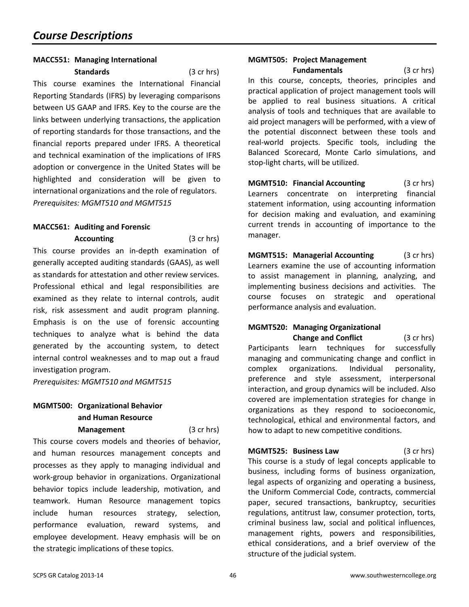#### **MACC551: Managing International**

**Standards** (3 cr hrs) This course examines the International Financial

Reporting Standards (IFRS) by leveraging comparisons between US GAAP and IFRS. Key to the course are the links between underlying transactions, the application of reporting standards for those transactions, and the financial reports prepared under IFRS. A theoretical and technical examination of the implications of IFRS adoption or convergence in the United States will be highlighted and consideration will be given to international organizations and the role of regulators. *Prerequisites: MGMT510 and MGMT515*

#### **MACC561: Auditing and Forensic**

**Accounting** (3 cr hrs) This course provides an in-depth examination of generally accepted auditing standards (GAAS), as well as standards for attestation and other review services. Professional ethical and legal responsibilities are examined as they relate to internal controls, audit risk, risk assessment and audit program planning. Emphasis is on the use of forensic accounting techniques to analyze what is behind the data generated by the accounting system, to detect internal control weaknesses and to map out a fraud investigation program.

*Prerequisites: MGMT510 and MGMT515*

# **MGMT500: Organizational Behavior and Human Resource**

**Management** (3 cr hrs)

This course covers models and theories of behavior, and human resources management concepts and processes as they apply to managing individual and work-group behavior in organizations. Organizational behavior topics include leadership, motivation, and teamwork. Human Resource management topics include human resources strategy, selection, performance evaluation, reward systems, and employee development. Heavy emphasis will be on the strategic implications of these topics.

# **MGMT505: Project Management**

**Fundamentals** (3 cr hrs) In this course, concepts, theories, principles and practical application of project management tools will be applied to real business situations. A critical analysis of tools and techniques that are available to aid project managers will be performed, with a view of the potential disconnect between these tools and real-world projects. Specific tools, including the Balanced Scorecard, Monte Carlo simulations, and stop-light charts, will be utilized.

**MGMT510: Financial Accounting** (3 cr hrs) Learners concentrate on interpreting financial statement information, using accounting information for decision making and evaluation, and examining current trends in accounting of importance to the manager.

**MGMT515: Managerial Accounting** (3 cr hrs) Learners examine the use of accounting information to assist management in planning, analyzing, and implementing business decisions and activities. The course focuses on strategic and operational performance analysis and evaluation.

# **MGMT520: Managing Organizational**

**Change and Conflict** (3 cr hrs) Participants learn techniques for successfully managing and communicating change and conflict in complex organizations. Individual personality, preference and style assessment, interpersonal interaction, and group dynamics will be included. Also covered are implementation strategies for change in organizations as they respond to socioeconomic, technological, ethical and environmental factors, and how to adapt to new competitive conditions.

**MGMT525: Business Law** (3 cr hrs) This course is a study of legal concepts applicable to business, including forms of business organization, legal aspects of organizing and operating a business, the Uniform Commercial Code, contracts, commercial paper, secured transactions, bankruptcy, securities regulations, antitrust law, consumer protection, torts, criminal business law, social and political influences, management rights, powers and responsibilities, ethical considerations, and a brief overview of the structure of the judicial system.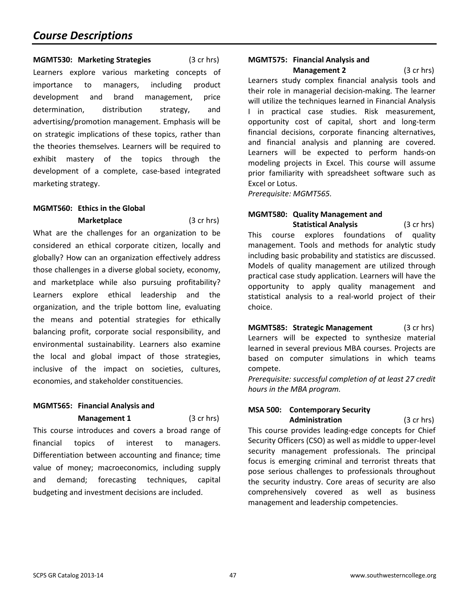**MGMT530: Marketing Strategies** (3 cr hrs) Learners explore various marketing concepts of importance to managers, including product development and brand management, price determination, distribution strategy, and advertising/promotion management. Emphasis will be on strategic implications of these topics, rather than the theories themselves. Learners will be required to exhibit mastery of the topics through the development of a complete, case-based integrated marketing strategy.

#### **MGMT560: Ethics in the Global**

**Marketplace** (3 cr hrs) What are the challenges for an organization to be considered an ethical corporate citizen, locally and globally? How can an organization effectively address those challenges in a diverse global society, economy, and marketplace while also pursuing profitability? Learners explore ethical leadership and the organization, and the triple bottom line, evaluating the means and potential strategies for ethically balancing profit, corporate social responsibility, and environmental sustainability. Learners also examine the local and global impact of those strategies, inclusive of the impact on societies, cultures, economies, and stakeholder constituencies.

# **MGMT565: Financial Analysis and**

**Management 1** (3 cr hrs) This course introduces and covers a broad range of financial topics of interest to managers. Differentiation between accounting and finance; time value of money; macroeconomics, including supply and demand; forecasting techniques, capital budgeting and investment decisions are included.

# **MGMT575: Financial Analysis and**

**Management 2** (3 cr hrs) Learners study complex financial analysis tools and their role in managerial decision-making. The learner will utilize the techniques learned in Financial Analysis I in practical case studies. Risk measurement, opportunity cost of capital, short and long-term financial decisions, corporate financing alternatives, and financial analysis and planning are covered. Learners will be expected to perform hands-on modeling projects in Excel. This course will assume prior familiarity with spreadsheet software such as Excel or Lotus.

*Prerequisite: MGMT565.*

# **MGMT580: Quality Management and**

**Statistical Analysis** (3 cr hrs) This course explores foundations of quality management. Tools and methods for analytic study including basic probability and statistics are discussed. Models of quality management are utilized through practical case study application. Learners will have the opportunity to apply quality management and statistical analysis to a real-world project of their choice.

**MGMT585: Strategic Management** (3 cr hrs) Learners will be expected to synthesize material learned in several previous MBA courses. Projects are based on computer simulations in which teams compete.

*Prerequisite: successful completion of at least 27 credit hours in the MBA program.*

#### **MSA 500: Contemporary Security Administration** (3 cr hrs)

This course provides leading-edge concepts for Chief Security Officers (CSO) as well as middle to upper-level security management professionals. The principal focus is emerging criminal and terrorist threats that pose serious challenges to professionals throughout the security industry. Core areas of security are also comprehensively covered as well as business management and leadership competencies.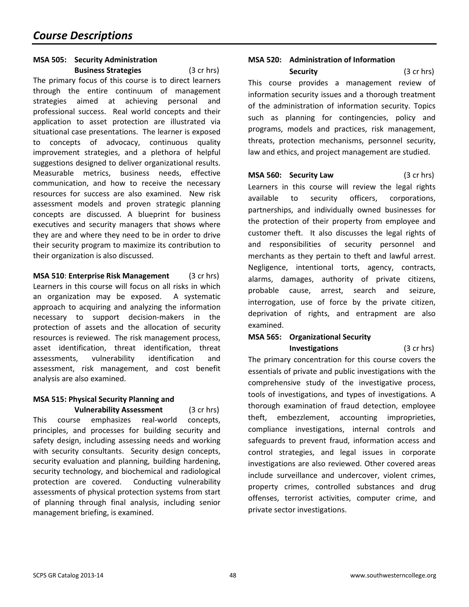#### **MSA 505: Security Administration Business Strategies** (3 cr hrs)

The primary focus of this course is to direct learners through the entire continuum of management strategies aimed at achieving personal and professional success. Real world concepts and their application to asset protection are illustrated via situational case presentations. The learner is exposed to concepts of advocacy, continuous quality improvement strategies, and a plethora of helpful suggestions designed to deliver organizational results. Measurable metrics, business needs, effective communication, and how to receive the necessary resources for success are also examined. New risk assessment models and proven strategic planning concepts are discussed. A blueprint for business executives and security managers that shows where they are and where they need to be in order to drive their security program to maximize its contribution to their organization is also discussed.

**MSA 510**: **Enterprise Risk Management** (3 cr hrs) Learners in this course will focus on all risks in which an organization may be exposed. A systematic approach to acquiring and analyzing the information necessary to support decision-makers in the protection of assets and the allocation of security resources is reviewed. The risk management process, asset identification, threat identification, threat assessments, vulnerability identification and assessment, risk management, and cost benefit analysis are also examined.

# **MSA 515: Physical Security Planning and**

**Vulnerability Assessment** (3 cr hrs) This course emphasizes real-world concepts, principles, and processes for building security and safety design, including assessing needs and working with security consultants. Security design concepts, security evaluation and planning, building hardening, security technology, and biochemical and radiological protection are covered. Conducting vulnerability assessments of physical protection systems from start of planning through final analysis, including senior management briefing, is examined.

#### **MSA 520: Administration of Information**

**Security** (3 cr hrs) This course provides a management review of information security issues and a thorough treatment of the administration of information security. Topics such as planning for contingencies, policy and programs, models and practices, risk management, threats, protection mechanisms, personnel security, law and ethics, and project management are studied.

**MSA 560: Security Law** (3 cr hrs) Learners in this course will review the legal rights available to security officers, corporations, partnerships, and individually owned businesses for the protection of their property from employee and customer theft. It also discusses the legal rights of and responsibilities of security personnel and merchants as they pertain to theft and lawful arrest. Negligence, intentional torts, agency, contracts, alarms, damages, authority of private citizens, probable cause, arrest, search and seizure, interrogation, use of force by the private citizen, deprivation of rights, and entrapment are also examined.

# **MSA 565: Organizational Security**

**Investigations** (3 cr hrs)

The primary concentration for this course covers the essentials of private and public investigations with the comprehensive study of the investigative process, tools of investigations, and types of investigations. A thorough examination of fraud detection, employee theft, embezzlement, accounting improprieties, compliance investigations, internal controls and safeguards to prevent fraud, information access and control strategies, and legal issues in corporate investigations are also reviewed. Other covered areas include surveillance and undercover, violent crimes, property crimes, controlled substances and drug offenses, terrorist activities, computer crime, and private sector investigations.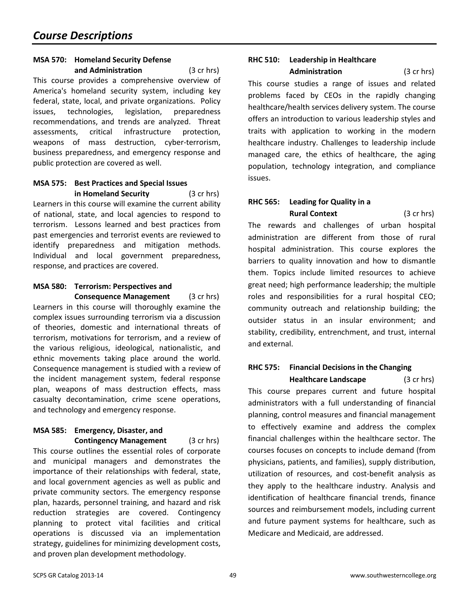#### **MSA 570: Homeland Security Defense and Administration** (3 cr hrs)

This course provides a comprehensive overview of America's homeland security system, including key federal, state, local, and private organizations. Policy issues, technologies, legislation, preparedness recommendations, and trends are analyzed. Threat assessments, critical infrastructure protection, weapons of mass destruction, cyber-terrorism, business preparedness, and emergency response and public protection are covered as well.

#### **MSA 575: Best Practices and Special Issues in Homeland Security** (3 cr hrs)

Learners in this course will examine the current ability of national, state, and local agencies to respond to terrorism. Lessons learned and best practices from past emergencies and terrorist events are reviewed to identify preparedness and mitigation methods. Individual and local government preparedness, response, and practices are covered.

#### **MSA 580: Terrorism: Perspectives and Consequence Management** (3 cr hrs)

Learners in this course will thoroughly examine the complex issues surrounding terrorism via a discussion of theories, domestic and international threats of terrorism, motivations for terrorism, and a review of the various religious, ideological, nationalistic, and ethnic movements taking place around the world. Consequence management is studied with a review of the incident management system, federal response plan, weapons of mass destruction effects, mass casualty decontamination, crime scene operations, and technology and emergency response.

# **MSA 585: Emergency, Disaster, and**

**Contingency Management** (3 cr hrs) This course outlines the essential roles of corporate and municipal managers and demonstrates the importance of their relationships with federal, state, and local government agencies as well as public and private community sectors. The emergency response plan, hazards, personnel training, and hazard and risk reduction strategies are covered. Contingency planning to protect vital facilities and critical operations is discussed via an implementation strategy, guidelines for minimizing development costs, and proven plan development methodology.

# **RHC 510: Leadership in Healthcare**

**Administration** (3 cr hrs)

This course studies a range of issues and related problems faced by CEOs in the rapidly changing healthcare/health services delivery system. The course offers an introduction to various leadership styles and traits with application to working in the modern healthcare industry. Challenges to leadership include managed care, the ethics of healthcare, the aging population, technology integration, and compliance issues.

### **RHC 565: Leading for Quality in a Rural Context** (3 cr hrs)

The rewards and challenges of urban hospital administration are different from those of rural hospital administration. This course explores the barriers to quality innovation and how to dismantle them. Topics include limited resources to achieve great need; high performance leadership; the multiple roles and responsibilities for a rural hospital CEO; community outreach and relationship building; the outsider status in an insular environment; and stability, credibility, entrenchment, and trust, internal and external.

### **RHC 575: Financial Decisions in the Changing**

**Healthcare Landscape** (3 cr hrs) This course prepares current and future hospital administrators with a full understanding of financial planning, control measures and financial management to effectively examine and address the complex financial challenges within the healthcare sector. The courses focuses on concepts to include demand (from physicians, patients, and families), supply distribution, utilization of resources, and cost-benefit analysis as they apply to the healthcare industry. Analysis and identification of healthcare financial trends, finance sources and reimbursement models, including current and future payment systems for healthcare, such as Medicare and Medicaid, are addressed.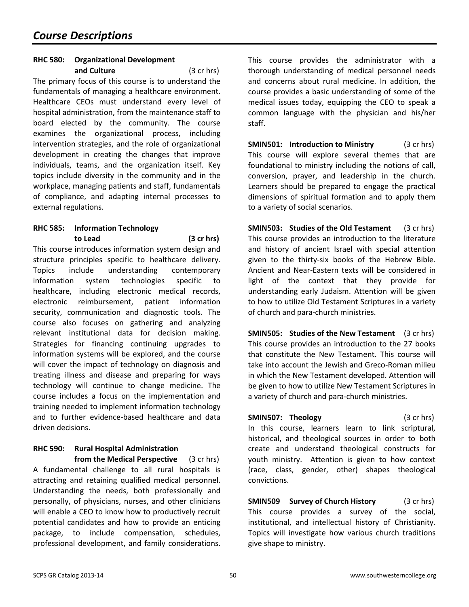#### **RHC 580: Organizational Development and Culture** (3 cr hrs)

The primary focus of this course is to understand the fundamentals of managing a healthcare environment. Healthcare CEOs must understand every level of hospital administration, from the maintenance staff to board elected by the community. The course examines the organizational process, including intervention strategies, and the role of organizational development in creating the changes that improve individuals, teams, and the organization itself. Key topics include diversity in the community and in the workplace, managing patients and staff, fundamentals of compliance, and adapting internal processes to external regulations.

#### **RHC 585: Information Technology to Lead (3 cr hrs)**

This course introduces information system design and structure principles specific to healthcare delivery. Topics include understanding contemporary information system technologies specific to healthcare, including electronic medical records, electronic reimbursement, patient information security, communication and diagnostic tools. The course also focuses on gathering and analyzing relevant institutional data for decision making. Strategies for financing continuing upgrades to information systems will be explored, and the course will cover the impact of technology on diagnosis and treating illness and disease and preparing for ways technology will continue to change medicine. The course includes a focus on the implementation and training needed to implement information technology and to further evidence-based healthcare and data driven decisions.

#### **RHC 590: Rural Hospital Administration from the Medical Perspective** (3 cr hrs)

A fundamental challenge to all rural hospitals is attracting and retaining qualified medical personnel. Understanding the needs, both professionally and personally, of physicians, nurses, and other clinicians will enable a CEO to know how to productively recruit potential candidates and how to provide an enticing package, to include compensation, schedules, professional development, and family considerations. This course provides the administrator with a thorough understanding of medical personnel needs and concerns about rural medicine. In addition, the course provides a basic understanding of some of the medical issues today, equipping the CEO to speak a common language with the physician and his/her staff.

**SMIN501: Introduction to Ministry** (3 cr hrs) This course will explore several themes that are foundational to ministry including the notions of call, conversion, prayer, and leadership in the church. Learners should be prepared to engage the practical dimensions of spiritual formation and to apply them to a variety of social scenarios.

**SMIN503:** Studies of the Old Testament (3 cr hrs) This course provides an introduction to the literature and history of ancient Israel with special attention given to the thirty-six books of the Hebrew Bible. Ancient and Near-Eastern texts will be considered in light of the context that they provide for understanding early Judaism. Attention will be given to how to utilize Old Testament Scriptures in a variety of church and para-church ministries.

**SMIN505: Studies of the New Testament** (3 cr hrs) This course provides [an introduction to the 27 books](http://sc.blackboard.com/webapps/portal/frameset.jsp?tab_id=_2_1&url=%2Fwebapps%2Fblackboard%2Fexecute%2Flauncher%3Ftype%3DCourse%26id%3D_14207_1%26url%3D)  [that constitute the New Testament. This course will](http://sc.blackboard.com/webapps/portal/frameset.jsp?tab_id=_2_1&url=%2Fwebapps%2Fblackboard%2Fexecute%2Flauncher%3Ftype%3DCourse%26id%3D_14207_1%26url%3D)  [take into account the Jewish and Greco-Roman milieu](http://sc.blackboard.com/webapps/portal/frameset.jsp?tab_id=_2_1&url=%2Fwebapps%2Fblackboard%2Fexecute%2Flauncher%3Ftype%3DCourse%26id%3D_14207_1%26url%3D)  [in which the New Testament developed. Attention will](http://sc.blackboard.com/webapps/portal/frameset.jsp?tab_id=_2_1&url=%2Fwebapps%2Fblackboard%2Fexecute%2Flauncher%3Ftype%3DCourse%26id%3D_14207_1%26url%3D)  [be given to how to utilize New Testament Scriptures in](http://sc.blackboard.com/webapps/portal/frameset.jsp?tab_id=_2_1&url=%2Fwebapps%2Fblackboard%2Fexecute%2Flauncher%3Ftype%3DCourse%26id%3D_14207_1%26url%3D)  [a variety of church and para-church ministries.](http://sc.blackboard.com/webapps/portal/frameset.jsp?tab_id=_2_1&url=%2Fwebapps%2Fblackboard%2Fexecute%2Flauncher%3Ftype%3DCourse%26id%3D_14207_1%26url%3D)

**SMIN507: Theology** (3 cr hrs) In this course, learners learn to link scriptural, historical, and theological sources in order to both create and understand theological constructs for youth ministry. Attention is given to how context (race, class, gender, other) shapes theological convictions.

**SMIN509 Survey of Church History** (3 cr hrs) This course provides a survey of the social, institutional, and intellectual history of Christianity. Topics will investigate how various church traditions give shape to ministry.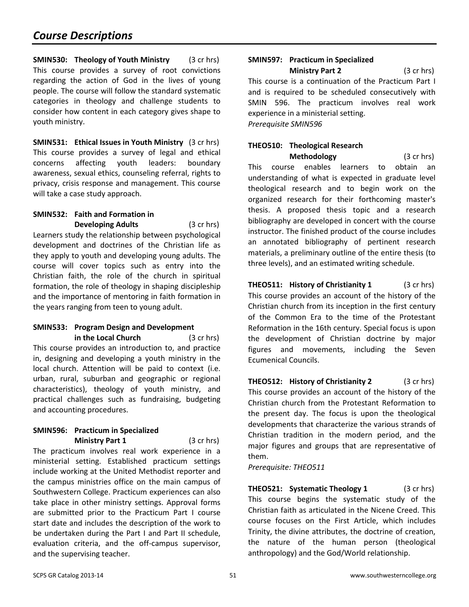**SMIN530: Theology of Youth Ministry** (3 cr hrs) This course provides a survey of root convictions regarding the action of God in the lives of young people. The course will follow the standard systematic categories in theology and challenge students to consider how content in each category gives shape to youth ministry.

**SMIN531: Ethical Issues in Youth Ministry** (3 cr hrs) This course provides a survey of legal and ethical concerns affecting youth leaders: boundary awareness, sexual ethics, counseling referral, rights to privacy, crisis response and management. This course will take a case study approach.

#### **SMIN532: Faith and Formation in Developing Adults** (3 cr hrs)

Learners study the relationship between psychological development and doctrines of the Christian life as they apply to youth and developing young adults. The course will cover topics such as entry into the Christian faith, the role of the church in spiritual formation, the role of theology in shaping discipleship and the importance of mentoring in faith formation in the years ranging from teen to young adult.

#### **SMIN533: Program Design and Development in the Local Church** (3 cr hrs)

This course provides an introduction to, and practice in, designing and developing a youth ministry in the local church. Attention will be paid to context (i.e. urban, rural, suburban and geographic or regional characteristics), theology of youth ministry, and practical challenges such as fundraising, budgeting and accounting procedures.

#### **SMIN596: Practicum in Specialized Ministry Part 1** (3 cr hrs)

The practicum involves real work experience in a ministerial setting. Established practicum settings include working at the United Methodist reporter and the campus ministries office on the main campus of Southwestern College. Practicum experiences can also take place in other ministry settings. Approval forms are submitted prior to the Practicum Part I course start date and includes the description of the work to be undertaken during the Part I and Part II schedule, evaluation criteria, and the off-campus supervisor, and the supervising teacher.

#### **SMIN597: Practicum in Specialized Ministry Part 2** (3 cr hrs)

This course is a continuation of the Practicum Part I and is required to be scheduled consecutively with SMIN 596. The practicum involves real work experience in a ministerial setting. *Prerequisite SMIN596*

# **THEO510: Theological Research**

**Methodology** (3 cr hrs) This course enables learners to obtain an understanding of what is expected in graduate level theological research and to begin work on the organized research for their forthcoming master's thesis. A proposed thesis topic and a research bibliography are developed in concert with the course instructor. The finished product of the course includes an annotated bibliography of pertinent research materials, a preliminary outline of the entire thesis (to three levels), and an estimated writing schedule.

**THEO511: History of Christianity 1** (3 cr hrs) This course provides an account of the history of the Christian church from its inception in the first century of the Common Era to the time of the Protestant Reformation in the 16th century. Special focus is upon the development of Christian doctrine by major figures and movements, including the Seven Ecumenical Councils.

**THEO512: History of Christianity 2** (3 cr hrs) This course provides an account of the history of the Christian church from the Protestant Reformation to the present day. The focus is upon the theological developments that characterize the various strands of Christian tradition in the modern period, and the major figures and groups that are representative of them.

*Prerequisite: THEO511*

**THEO521: Systematic Theology 1** (3 cr hrs) This course begins the systematic study of the Christian faith as articulated in the Nicene Creed. This course focuses on the First Article, which includes Trinity, the divine attributes, the doctrine of creation, the nature of the human person (theological anthropology) and the God/World relationship.